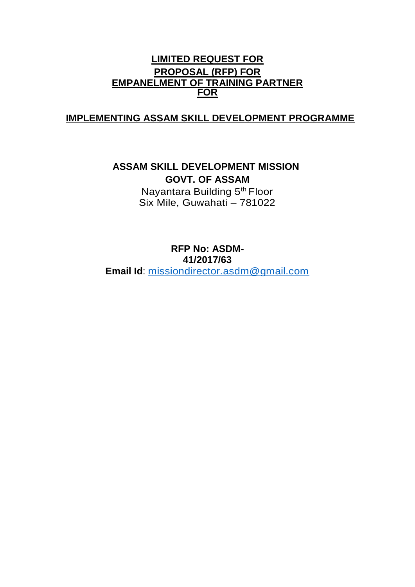# **LIMITED REQUEST FOR PROPOSAL (RFP) FOR EMPANELMENT OF TRAINING PARTNER FOR**

# **IMPLEMENTING ASSAM SKILL DEVELOPMENT PROGRAMME**

**ASSAM SKILL DEVELOPMENT MISSION GOVT. OF ASSAM**  Nayantara Building 5<sup>th</sup> Floor

Six Mile, Guwahati – 781022

**RFP No: ASDM-41/2017/63 Email Id**: [missiondirector.asdm@gmail.com](mailto:missiondirector.asdm@gmail.com)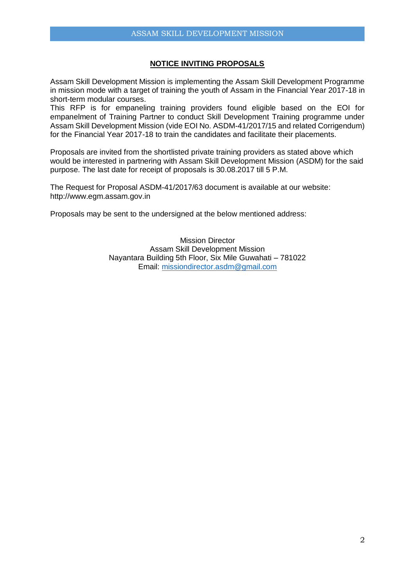## **NOTICE INVITING PROPOSALS**

Assam Skill Development Mission is implementing the Assam Skill Development Programme in mission mode with a target of training the youth of Assam in the Financial Year 2017-18 in short-term modular courses.

This RFP is for empaneling training providers found eligible based on the EOI for empanelment of Training Partner to conduct Skill Development Training programme under Assam Skill Development Mission (vide EOI No. ASDM-41/2017/15 and related Corrigendum) for the Financial Year 2017-18 to train the candidates and facilitate their placements.

Proposals are invited from the shortlisted private training providers as stated above which would be interested in partnering with Assam Skill Development Mission (ASDM) for the said purpose. The last date for receipt of proposals is 30.08.2017 till 5 P.M.

The Request for Proposal ASDM-41/2017/63 document is available at our website: http://www.egm.assam.gov.in

Proposals may be sent to the undersigned at the below mentioned address:

Mission Director Assam Skill Development Mission Nayantara Building 5th Floor, Six Mile Guwahati – 781022 Email: [missiondirector.asdm@gmail.com](mailto:missiondirector.asdm@gmail.com)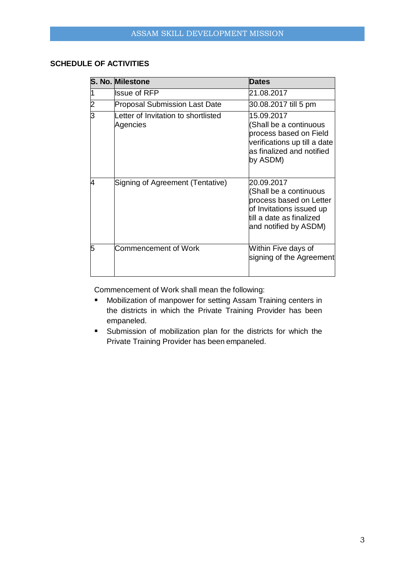## **SCHEDULE OF ACTIVITIES**

|                | S. No. Milestone                                | <b>Dates</b>                                                                                                                                     |
|----------------|-------------------------------------------------|--------------------------------------------------------------------------------------------------------------------------------------------------|
|                | <b>Issue of RFP</b>                             | 21.08.2017                                                                                                                                       |
| $\overline{2}$ | <b>Proposal Submission Last Date</b>            | 30.08.2017 till 5 pm                                                                                                                             |
| 3              | Letter of Invitation to shortlisted<br>Agencies | 15.09.2017<br>Shall be a continuous<br>process based on Field<br>verifications up till a date<br>as finalized and notified<br>by ASDM)           |
| 4              | Signing of Agreement (Tentative)                | 20.09.2017<br>(Shall be a continuous<br>process based on Letter<br>of Invitations issued up<br>till a date as finalized<br>and notified by ASDM) |
| 5              | Commencement of Work                            | Within Five days of<br>signing of the Agreement                                                                                                  |

Commencement of Work shall mean the following:

- **Mobilization of manpower for setting Assam Training centers in** the districts in which the Private Training Provider has been empaneled.
- Submission of mobilization plan for the districts for which the Private Training Provider has been empaneled.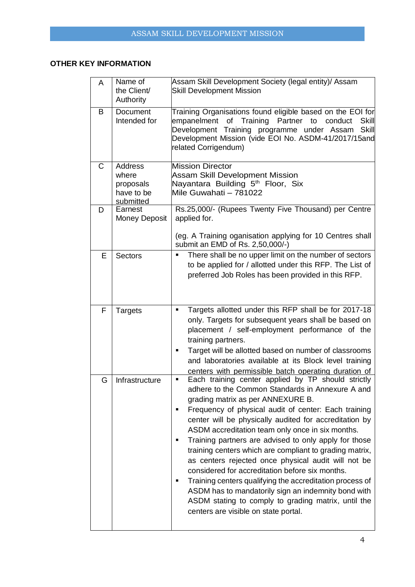## **OTHER KEY INFORMATION**

| A            | Name of<br>the Client/<br>Authority                      | Assam Skill Development Society (legal entity)/ Assam<br><b>Skill Development Mission</b>                                                                                                                                                                                                                                                                                                                                                                                                                                                                                                                                                                                                                                                                                        |
|--------------|----------------------------------------------------------|----------------------------------------------------------------------------------------------------------------------------------------------------------------------------------------------------------------------------------------------------------------------------------------------------------------------------------------------------------------------------------------------------------------------------------------------------------------------------------------------------------------------------------------------------------------------------------------------------------------------------------------------------------------------------------------------------------------------------------------------------------------------------------|
| B            | <b>Document</b><br>Intended for                          | Training Organisations found eligible based on the EOI for<br>empanelment of Training Partner to<br>conduct<br><b>Skill</b><br>Development Training programme under Assam<br>Skill<br>Development Mission (vide EOI No. ASDM-41/2017/15and<br>related Corrigendum)                                                                                                                                                                                                                                                                                                                                                                                                                                                                                                               |
| $\mathsf{C}$ | Address<br>where<br>proposals<br>have to be<br>submitted | <b>Mission Director</b><br><b>Assam Skill Development Mission</b><br>Nayantara Building 5 <sup>th</sup> Floor, Six<br>Mile Guwahati - 781022                                                                                                                                                                                                                                                                                                                                                                                                                                                                                                                                                                                                                                     |
| D            | Earnest<br><b>Money Deposit</b>                          | Rs.25,000/- (Rupees Twenty Five Thousand) per Centre<br>applied for.<br>(eg. A Training oganisation applying for 10 Centres shall                                                                                                                                                                                                                                                                                                                                                                                                                                                                                                                                                                                                                                                |
| E            | <b>Sectors</b>                                           | submit an EMD of Rs. 2,50,000/-)<br>There shall be no upper limit on the number of sectors<br>٠<br>to be applied for / allotted under this RFP. The List of<br>preferred Job Roles has been provided in this RFP.                                                                                                                                                                                                                                                                                                                                                                                                                                                                                                                                                                |
| F            | <b>Targets</b>                                           | Targets allotted under this RFP shall be for 2017-18<br>п<br>only. Targets for subsequent years shall be based on<br>placement / self-employment performance of the<br>training partners.<br>Target will be allotted based on number of classrooms<br>п<br>and laboratories available at its Block level training<br>centers with permissible batch operating duration of                                                                                                                                                                                                                                                                                                                                                                                                        |
| G            | Infrastructure                                           | Each training center applied by TP should strictly<br>٠<br>adhere to the Common Standards in Annexure A and<br>grading matrix as per ANNEXURE B.<br>Frequency of physical audit of center: Each training<br>center will be physically audited for accreditation by<br>ASDM accreditation team only once in six months.<br>Training partners are advised to only apply for those<br>п<br>training centers which are compliant to grading matrix,<br>as centers rejected once physical audit will not be<br>considered for accreditation before six months.<br>Training centers qualifying the accreditation process of<br>п<br>ASDM has to mandatorily sign an indemnity bond with<br>ASDM stating to comply to grading matrix, until the<br>centers are visible on state portal. |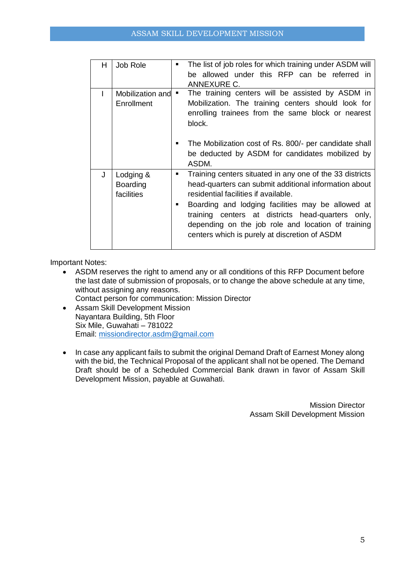| H | Job Role                            | ٠              | The list of job roles for which training under ASDM will                                                                                                                                                                                                                                                                                                                   |
|---|-------------------------------------|----------------|----------------------------------------------------------------------------------------------------------------------------------------------------------------------------------------------------------------------------------------------------------------------------------------------------------------------------------------------------------------------------|
|   |                                     |                | be allowed under this RFP can be referred in                                                                                                                                                                                                                                                                                                                               |
|   |                                     |                | ANNEXURE C.                                                                                                                                                                                                                                                                                                                                                                |
|   | Mobilization and<br>Enrollment      | ٠              | The training centers will be assisted by ASDM in<br>Mobilization. The training centers should look for<br>enrolling trainees from the same block or nearest<br>block.                                                                                                                                                                                                      |
|   |                                     | ■              | The Mobilization cost of Rs. 800/- per candidate shall<br>be deducted by ASDM for candidates mobilized by<br>ASDM.                                                                                                                                                                                                                                                         |
| J | Lodging &<br>Boarding<br>facilities | $\blacksquare$ | Training centers situated in any one of the 33 districts<br>head-quarters can submit additional information about<br>residential facilities if available.<br>Boarding and lodging facilities may be allowed at<br>training centers at districts head-quarters only,<br>depending on the job role and location of training<br>centers which is purely at discretion of ASDM |

Important Notes:

- ASDM reserves the right to amend any or all conditions of this RFP Document before the last date of submission of proposals, or to change the above schedule at any time, without assigning any reasons.
	- Contact person for communication: Mission Director
- Assam Skill Development Mission Nayantara Building, 5th Floor Six Mile, Guwahati – 781022 Email: [missiondirector.asdm@gmail.com](mailto:missiondirector.asdm@gmail.com)
- In case any applicant fails to submit the original Demand Draft of Earnest Money along with the bid, the Technical Proposal of the applicant shall not be opened. The Demand Draft should be of a Scheduled Commercial Bank drawn in favor of Assam Skill Development Mission, payable at Guwahati.

Mission Director Assam Skill Development Mission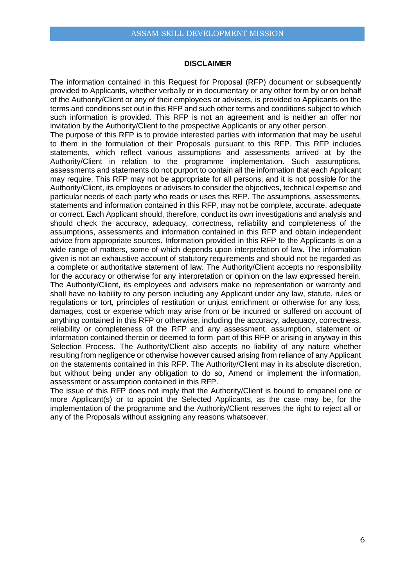#### **DISCLAIMER**

The information contained in this Request for Proposal (RFP) document or subsequently provided to Applicants, whether verbally or in documentary or any other form by or on behalf of the Authority/Client or any of their employees or advisers, is provided to Applicants on the terms and conditions set out in this RFP and such other terms and conditions subject to which such information is provided. This RFP is not an agreement and is neither an offer nor invitation by the Authority/Client to the prospective Applicants or any other person.

The purpose of this RFP is to provide interested parties with information that may be useful to them in the formulation of their Proposals pursuant to this RFP. This RFP includes statements, which reflect various assumptions and assessments arrived at by the Authority/Client in relation to the programme implementation. Such assumptions, assessments and statements do not purport to contain all the information that each Applicant may require. This RFP may not be appropriate for all persons, and it is not possible for the Authority/Client, its employees or advisers to consider the objectives, technical expertise and particular needs of each party who reads or uses this RFP. The assumptions, assessments, statements and information contained in this RFP, may not be complete, accurate, adequate or correct. Each Applicant should, therefore, conduct its own investigations and analysis and should check the accuracy, adequacy, correctness, reliability and completeness of the assumptions, assessments and information contained in this RFP and obtain independent advice from appropriate sources. Information provided in this RFP to the Applicants is on a wide range of matters, some of which depends upon interpretation of law. The information given is not an exhaustive account of statutory requirements and should not be regarded as a complete or authoritative statement of law. The Authority/Client accepts no responsibility for the accuracy or otherwise for any interpretation or opinion on the law expressed herein. The Authority/Client, its employees and advisers make no representation or warranty and shall have no liability to any person including any Applicant under any law, statute, rules or regulations or tort, principles of restitution or unjust enrichment or otherwise for any loss, damages, cost or expense which may arise from or be incurred or suffered on account of anything contained in this RFP or otherwise, including the accuracy, adequacy, correctness, reliability or completeness of the RFP and any assessment, assumption, statement or information contained therein or deemed to form part of this RFP or arising in anyway in this Selection Process. The Authority/Client also accepts no liability of any nature whether resulting from negligence or otherwise however caused arising from reliance of any Applicant on the statements contained in this RFP. The Authority/Client may in its absolute discretion, but without being under any obligation to do so, Amend or implement the information, assessment or assumption contained in this RFP.

The issue of this RFP does not imply that the Authority/Client is bound to empanel one or more Applicant(s) or to appoint the Selected Applicants, as the case may be, for the implementation of the programme and the Authority/Client reserves the right to reject all or any of the Proposals without assigning any reasons whatsoever.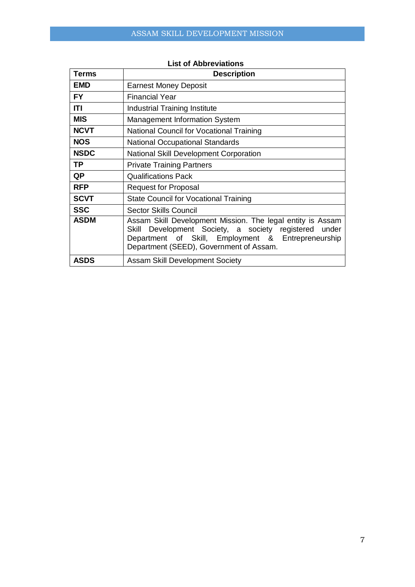| Terms       | <b>Description</b>                                                                                                                                                                                                         |
|-------------|----------------------------------------------------------------------------------------------------------------------------------------------------------------------------------------------------------------------------|
| <b>EMD</b>  | <b>Earnest Money Deposit</b>                                                                                                                                                                                               |
| <b>FY</b>   | <b>Financial Year</b>                                                                                                                                                                                                      |
| ITI         | <b>Industrial Training Institute</b>                                                                                                                                                                                       |
| <b>MIS</b>  | <b>Management Information System</b>                                                                                                                                                                                       |
| <b>NCVT</b> | National Council for Vocational Training                                                                                                                                                                                   |
| <b>NOS</b>  | <b>National Occupational Standards</b>                                                                                                                                                                                     |
| <b>NSDC</b> | <b>National Skill Development Corporation</b>                                                                                                                                                                              |
| <b>TP</b>   | <b>Private Training Partners</b>                                                                                                                                                                                           |
| <b>QP</b>   | <b>Qualifications Pack</b>                                                                                                                                                                                                 |
| <b>RFP</b>  | <b>Request for Proposal</b>                                                                                                                                                                                                |
| <b>SCVT</b> | <b>State Council for Vocational Training</b>                                                                                                                                                                               |
| <b>SSC</b>  | <b>Sector Skills Council</b>                                                                                                                                                                                               |
| <b>ASDM</b> | Assam Skill Development Mission. The legal entity is Assam<br>Development Society, a society registered<br>under<br>Skill<br>Department of Skill, Employment & Entrepreneurship<br>Department (SEED), Government of Assam. |
| <b>ASDS</b> | <b>Assam Skill Development Society</b>                                                                                                                                                                                     |

## **List of Abbreviations**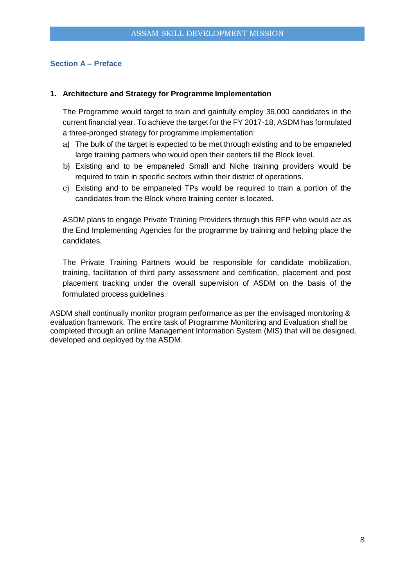## **Section A – Preface**

#### **1. Architecture and Strategy for Programme Implementation**

The Programme would target to train and gainfully employ 36,000 candidates in the current financial year. To achieve the target for the FY 2017-18, ASDM has formulated a three-pronged strategy for programme implementation:

- a) The bulk of the target is expected to be met through existing and to be empaneled large training partners who would open their centers till the Block level.
- b) Existing and to be empaneled Small and Niche training providers would be required to train in specific sectors within their district of operations.
- c) Existing and to be empaneled TPs would be required to train a portion of the candidates from the Block where training center is located.

ASDM plans to engage Private Training Providers through this RFP who would act as the End Implementing Agencies for the programme by training and helping place the candidates.

The Private Training Partners would be responsible for candidate mobilization, training, facilitation of third party assessment and certification, placement and post placement tracking under the overall supervision of ASDM on the basis of the formulated process guidelines.

ASDM shall continually monitor program performance as per the envisaged monitoring & evaluation framework. The entire task of Programme Monitoring and Evaluation shall be completed through an online Management Information System (MIS) that will be designed, developed and deployed by the ASDM.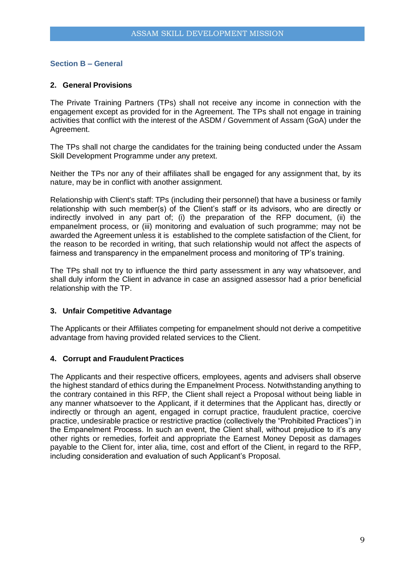## **Section B – General**

### **2. General Provisions**

The Private Training Partners (TPs) shall not receive any income in connection with the engagement except as provided for in the Agreement. The TPs shall not engage in training activities that conflict with the interest of the ASDM / Government of Assam (GoA) under the Agreement.

The TPs shall not charge the candidates for the training being conducted under the Assam Skill Development Programme under any pretext.

Neither the TPs nor any of their affiliates shall be engaged for any assignment that, by its nature, may be in conflict with another assignment.

Relationship with Client's staff: TPs (including their personnel) that have a business or family relationship with such member(s) of the Client's staff or its advisors, who are directly or indirectly involved in any part of; (i) the preparation of the RFP document, (ii) the empanelment process, or (iii) monitoring and evaluation of such programme; may not be awarded the Agreement unless it is established to the complete satisfaction of the Client, for the reason to be recorded in writing, that such relationship would not affect the aspects of fairness and transparency in the empanelment process and monitoring of TP's training.

The TPs shall not try to influence the third party assessment in any way whatsoever, and shall duly inform the Client in advance in case an assigned assessor had a prior beneficial relationship with the TP.

#### **3. Unfair Competitive Advantage**

The Applicants or their Affiliates competing for empanelment should not derive a competitive advantage from having provided related services to the Client.

#### **4. Corrupt and Fraudulent Practices**

The Applicants and their respective officers, employees, agents and advisers shall observe the highest standard of ethics during the Empanelment Process. Notwithstanding anything to the contrary contained in this RFP, the Client shall reject a Proposal without being liable in any manner whatsoever to the Applicant, if it determines that the Applicant has, directly or indirectly or through an agent, engaged in corrupt practice, fraudulent practice, coercive practice, undesirable practice or restrictive practice (collectively the "Prohibited Practices") in the Empanelment Process. In such an event, the Client shall, without prejudice to it's any other rights or remedies, forfeit and appropriate the Earnest Money Deposit as damages payable to the Client for, inter alia, time, cost and effort of the Client, in regard to the RFP, including consideration and evaluation of such Applicant's Proposal.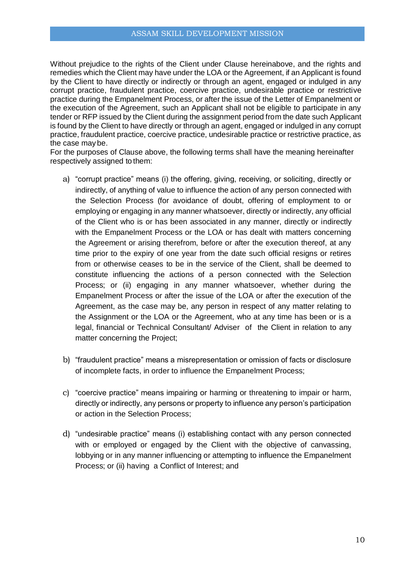Without prejudice to the rights of the Client under Clause hereinabove, and the rights and remedies which the Client may have under the LOA or the Agreement, if an Applicant is found by the Client to have directly or indirectly or through an agent, engaged or indulged in any corrupt practice, fraudulent practice, coercive practice, undesirable practice or restrictive practice during the Empanelment Process, or after the issue of the Letter of Empanelment or the execution of the Agreement, such an Applicant shall not be eligible to participate in any tender or RFP issued by the Client during the assignment period from the date such Applicant is found by the Client to have directly or through an agent, engaged or indulged in any corrupt practice, fraudulent practice, coercive practice, undesirable practice or restrictive practice, as the case may be.

For the purposes of Clause above, the following terms shall have the meaning hereinafter respectively assigned to them:

- a) "corrupt practice" means (i) the offering, giving, receiving, or soliciting, directly or indirectly, of anything of value to influence the action of any person connected with the Selection Process (for avoidance of doubt, offering of employment to or employing or engaging in any manner whatsoever, directly or indirectly, any official of the Client who is or has been associated in any manner, directly or indirectly with the Empanelment Process or the LOA or has dealt with matters concerning the Agreement or arising therefrom, before or after the execution thereof, at any time prior to the expiry of one year from the date such official resigns or retires from or otherwise ceases to be in the service of the Client, shall be deemed to constitute influencing the actions of a person connected with the Selection Process; or (ii) engaging in any manner whatsoever, whether during the Empanelment Process or after the issue of the LOA or after the execution of the Agreement, as the case may be, any person in respect of any matter relating to the Assignment or the LOA or the Agreement, who at any time has been or is a legal, financial or Technical Consultant/ Adviser of the Client in relation to any matter concerning the Project;
- b) "fraudulent practice" means a misrepresentation or omission of facts or disclosure of incomplete facts, in order to influence the Empanelment Process;
- c) "coercive practice" means impairing or harming or threatening to impair or harm, directly or indirectly, any persons or property to influence any person's participation or action in the Selection Process;
- d) "undesirable practice" means (i) establishing contact with any person connected with or employed or engaged by the Client with the objective of canvassing, lobbying or in any manner influencing or attempting to influence the Empanelment Process; or (ii) having a Conflict of Interest; and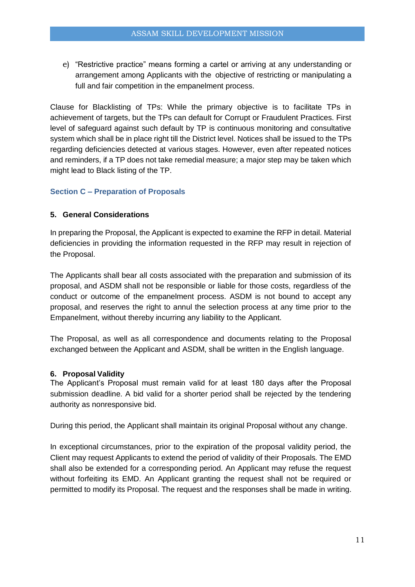e) "Restrictive practice" means forming a cartel or arriving at any understanding or arrangement among Applicants with the objective of restricting or manipulating a full and fair competition in the empanelment process.

Clause for Blacklisting of TPs: While the primary objective is to facilitate TPs in achievement of targets, but the TPs can default for Corrupt or Fraudulent Practices. First level of safeguard against such default by TP is continuous monitoring and consultative system which shall be in place right till the District level. Notices shall be issued to the TPs regarding deficiencies detected at various stages. However, even after repeated notices and reminders, if a TP does not take remedial measure; a major step may be taken which might lead to Black listing of the TP.

## **Section C – Preparation of Proposals**

## **5. General Considerations**

In preparing the Proposal, the Applicant is expected to examine the RFP in detail. Material deficiencies in providing the information requested in the RFP may result in rejection of the Proposal.

The Applicants shall bear all costs associated with the preparation and submission of its proposal, and ASDM shall not be responsible or liable for those costs, regardless of the conduct or outcome of the empanelment process. ASDM is not bound to accept any proposal, and reserves the right to annul the selection process at any time prior to the Empanelment, without thereby incurring any liability to the Applicant.

The Proposal, as well as all correspondence and documents relating to the Proposal exchanged between the Applicant and ASDM, shall be written in the English language.

#### **6. Proposal Validity**

The Applicant's Proposal must remain valid for at least 180 days after the Proposal submission deadline. A bid valid for a shorter period shall be rejected by the tendering authority as nonresponsive bid.

During this period, the Applicant shall maintain its original Proposal without any change.

In exceptional circumstances, prior to the expiration of the proposal validity period, the Client may request Applicants to extend the period of validity of their Proposals. The EMD shall also be extended for a corresponding period. An Applicant may refuse the request without forfeiting its EMD. An Applicant granting the request shall not be required or permitted to modify its Proposal. The request and the responses shall be made in writing.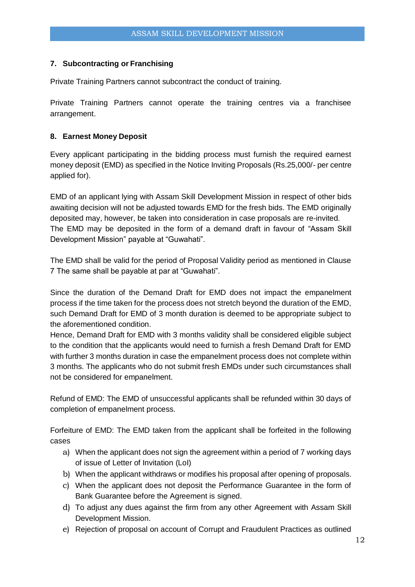## **7. Subcontracting or Franchising**

Private Training Partners cannot subcontract the conduct of training.

Private Training Partners cannot operate the training centres via a franchisee arrangement.

## **8. Earnest Money Deposit**

Every applicant participating in the bidding process must furnish the required earnest money deposit (EMD) as specified in the Notice Inviting Proposals (Rs.25,000/- per centre applied for).

EMD of an applicant lying with Assam Skill Development Mission in respect of other bids awaiting decision will not be adjusted towards EMD for the fresh bids. The EMD originally deposited may, however, be taken into consideration in case proposals are re-invited. The EMD may be deposited in the form of a demand draft in favour of "Assam Skill Development Mission" payable at "Guwahati".

The EMD shall be valid for the period of Proposal Validity period as mentioned in Clause 7 The same shall be payable at par at "Guwahati".

Since the duration of the Demand Draft for EMD does not impact the empanelment process if the time taken for the process does not stretch beyond the duration of the EMD, such Demand Draft for EMD of 3 month duration is deemed to be appropriate subject to the aforementioned condition.

Hence, Demand Draft for EMD with 3 months validity shall be considered eligible subject to the condition that the applicants would need to furnish a fresh Demand Draft for EMD with further 3 months duration in case the empanelment process does not complete within 3 months. The applicants who do not submit fresh EMDs under such circumstances shall not be considered for empanelment.

Refund of EMD: The EMD of unsuccessful applicants shall be refunded within 30 days of completion of empanelment process.

Forfeiture of EMD: The EMD taken from the applicant shall be forfeited in the following cases

- a) When the applicant does not sign the agreement within a period of 7 working days of issue of Letter of Invitation (LoI)
- b) When the applicant withdraws or modifies his proposal after opening of proposals.
- c) When the applicant does not deposit the Performance Guarantee in the form of Bank Guarantee before the Agreement is signed.
- d) To adjust any dues against the firm from any other Agreement with Assam Skill Development Mission.
- e) Rejection of proposal on account of Corrupt and Fraudulent Practices as outlined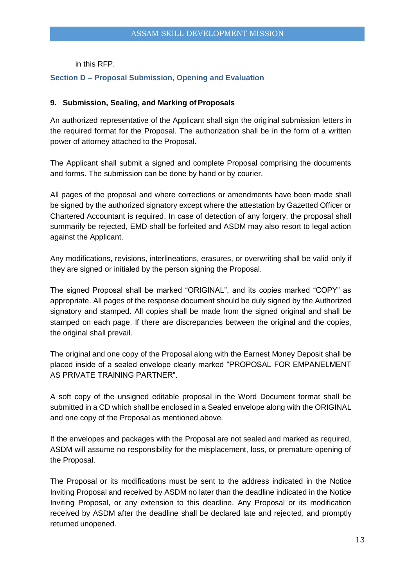in this RFP.

## **Section D – Proposal Submission, Opening and Evaluation**

#### **9. Submission, Sealing, and Marking of Proposals**

An authorized representative of the Applicant shall sign the original submission letters in the required format for the Proposal. The authorization shall be in the form of a written power of attorney attached to the Proposal.

The Applicant shall submit a signed and complete Proposal comprising the documents and forms. The submission can be done by hand or by courier.

All pages of the proposal and where corrections or amendments have been made shall be signed by the authorized signatory except where the attestation by Gazetted Officer or Chartered Accountant is required. In case of detection of any forgery, the proposal shall summarily be rejected, EMD shall be forfeited and ASDM may also resort to legal action against the Applicant.

Any modifications, revisions, interlineations, erasures, or overwriting shall be valid only if they are signed or initialed by the person signing the Proposal.

The signed Proposal shall be marked "ORIGINAL", and its copies marked "COPY" as appropriate. All pages of the response document should be duly signed by the Authorized signatory and stamped. All copies shall be made from the signed original and shall be stamped on each page. If there are discrepancies between the original and the copies, the original shall prevail.

The original and one copy of the Proposal along with the Earnest Money Deposit shall be placed inside of a sealed envelope clearly marked "PROPOSAL FOR EMPANELMENT AS PRIVATE TRAINING PARTNER".

A soft copy of the unsigned editable proposal in the Word Document format shall be submitted in a CD which shall be enclosed in a Sealed envelope along with the ORIGINAL and one copy of the Proposal as mentioned above.

If the envelopes and packages with the Proposal are not sealed and marked as required, ASDM will assume no responsibility for the misplacement, loss, or premature opening of the Proposal.

The Proposal or its modifications must be sent to the address indicated in the Notice Inviting Proposal and received by ASDM no later than the deadline indicated in the Notice Inviting Proposal, or any extension to this deadline. Any Proposal or its modification received by ASDM after the deadline shall be declared late and rejected, and promptly returned unopened.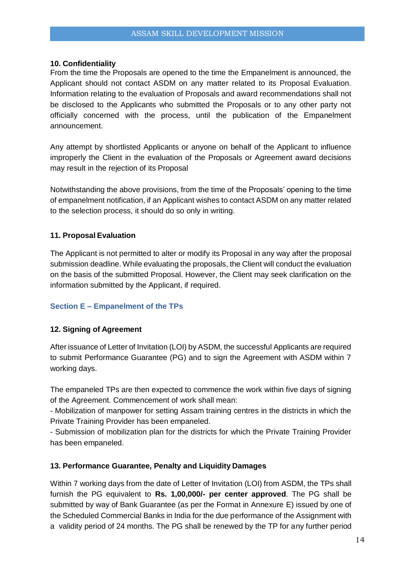#### **10. Confidentiality**

From the time the Proposals are opened to the time the Empanelment is announced, the Applicant should not contact ASDM on any matter related to its Proposal Evaluation. Information relating to the evaluation of Proposals and award recommendations shall not be disclosed to the Applicants who submitted the Proposals or to any other party not officially concerned with the process, until the publication of the Empanelment announcement.

Any attempt by shortlisted Applicants or anyone on behalf of the Applicant to influence improperly the Client in the evaluation of the Proposals or Agreement award decisions may result in the rejection of its Proposal

Notwithstanding the above provisions, from the time of the Proposals' opening to the time of empanelment notification, if an Applicant wishes to contact ASDM on any matter related to the selection process, it should do so only in writing.

#### **11. Proposal Evaluation**

The Applicant is not permitted to alter or modify its Proposal in any way after the proposal submission deadline. While evaluating the proposals, the Client will conduct the evaluation on the basis of the submitted Proposal. However, the Client may seek clarification on the information submitted by the Applicant, if required.

## **Section E – Empanelment of the TPs**

## **12. Signing of Agreement**

After issuance of Letter of Invitation (LOI) by ASDM, the successful Applicants are required to submit Performance Guarantee (PG) and to sign the Agreement with ASDM within 7 working days.

The empaneled TPs are then expected to commence the work within five days of signing of the Agreement. Commencement of work shall mean:

- Mobilization of manpower for setting Assam training centres in the districts in which the Private Training Provider has been empaneled.

- Submission of mobilization plan for the districts for which the Private Training Provider has been empaneled.

#### **13. Performance Guarantee, Penalty and Liquidity Damages**

Within 7 working days from the date of Letter of Invitation (LOI) from ASDM, the TPs shall furnish the PG equivalent to **Rs. 1,00,000/- per center approved**. The PG shall be submitted by way of Bank Guarantee (as per the Format in Annexure E) issued by one of the Scheduled Commercial Banks in India for the due performance of the Assignment with a validity period of 24 months. The PG shall be renewed by the TP for any further period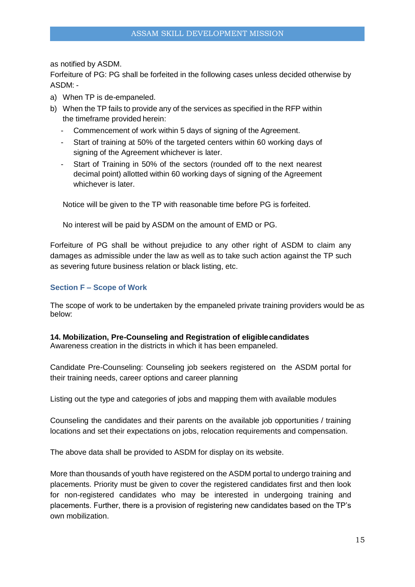as notified by ASDM.

Forfeiture of PG: PG shall be forfeited in the following cases unless decided otherwise by ASDM: -

- a) When TP is de-empaneled.
- b) When the TP fails to provide any of the services as specified in the RFP within the timeframe provided herein:
	- Commencement of work within 5 days of signing of the Agreement.
	- Start of training at 50% of the targeted centers within 60 working days of signing of the Agreement whichever is later.
	- Start of Training in 50% of the sectors (rounded off to the next nearest decimal point) allotted within 60 working days of signing of the Agreement whichever is later.

Notice will be given to the TP with reasonable time before PG is forfeited.

No interest will be paid by ASDM on the amount of EMD or PG.

Forfeiture of PG shall be without prejudice to any other right of ASDM to claim any damages as admissible under the law as well as to take such action against the TP such as severing future business relation or black listing, etc.

#### **Section F – Scope of Work**

The scope of work to be undertaken by the empaneled private training providers would be as below:

## **14. Mobilization, Pre-Counseling and Registration of eligiblecandidates**

Awareness creation in the districts in which it has been empaneled.

Candidate Pre-Counseling: Counseling job seekers registered on the ASDM portal for their training needs, career options and career planning

Listing out the type and categories of jobs and mapping them with available modules

Counseling the candidates and their parents on the available job opportunities / training locations and set their expectations on jobs, relocation requirements and compensation.

The above data shall be provided to ASDM for display on its website.

More than thousands of youth have registered on the ASDM portal to undergo training and placements. Priority must be given to cover the registered candidates first and then look for non-registered candidates who may be interested in undergoing training and placements. Further, there is a provision of registering new candidates based on the TP's own mobilization.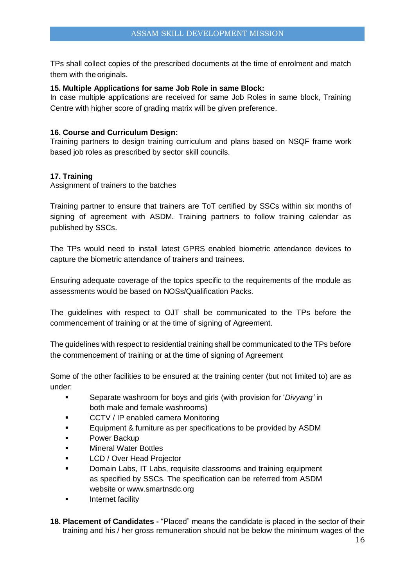TPs shall collect copies of the prescribed documents at the time of enrolment and match them with the originals.

## **15. Multiple Applications for same Job Role in same Block:**

In case multiple applications are received for same Job Roles in same block, Training Centre with higher score of grading matrix will be given preference.

## **16. Course and Curriculum Design:**

Training partners to design training curriculum and plans based on NSQF frame work based job roles as prescribed by sector skill councils.

## **17. Training**

Assignment of trainers to the batches

Training partner to ensure that trainers are ToT certified by SSCs within six months of signing of agreement with ASDM. Training partners to follow training calendar as published by SSCs.

The TPs would need to install latest GPRS enabled biometric attendance devices to capture the biometric attendance of trainers and trainees.

Ensuring adequate coverage of the topics specific to the requirements of the module as assessments would be based on NOSs/Qualification Packs.

The guidelines with respect to OJT shall be communicated to the TPs before the commencement of training or at the time of signing of Agreement.

The guidelines with respect to residential training shall be communicated to the TPs before the commencement of training or at the time of signing of Agreement

Some of the other facilities to be ensured at the training center (but not limited to) are as under:

- Separate washroom for boys and girls (with provision for '*Divyang'* in both male and female washrooms)
- CCTV / IP enabled camera Monitoring
- **Equipment & furniture as per specifications to be provided by ASDM**
- **Power Backup**
- Mineral Water Bottles
- LCD / Over Head Projector
- Domain Labs, IT Labs, requisite classrooms and training equipment as specified by SSCs. The specification can be referred from ASDM website or www.smartnsdc.org
- Internet facility
- **18. Placement of Candidates -** "Placed" means the candidate is placed in the sector of their training and his / her gross remuneration should not be below the minimum wages of the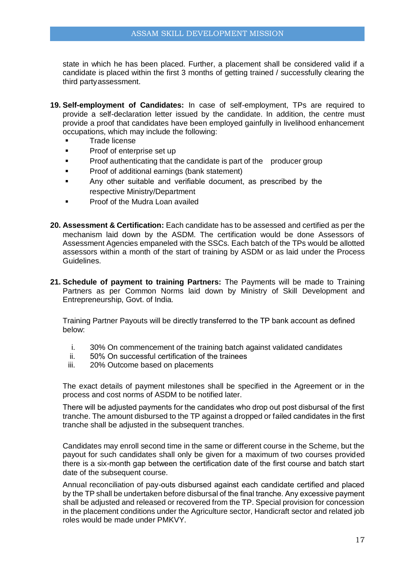state in which he has been placed. Further, a placement shall be considered valid if a candidate is placed within the first 3 months of getting trained / successfully clearing the third partyassessment.

- **19. Self-employment of Candidates:** In case of self-employment, TPs are required to provide a self-declaration letter issued by the candidate. In addition, the centre must provide a proof that candidates have been employed gainfully in livelihood enhancement occupations, which may include the following:
	- **Trade license**
	- **Proof of enterprise set up**
	- **Proof authenticating that the candidate is part of the producer group**
	- **Proof of additional earnings (bank statement)**
	- Any other suitable and verifiable document, as prescribed by the respective Ministry/Department
	- Proof of the Mudra Loan availed
- **20. Assessment & Certification:** Each candidate has to be assessed and certified as per the mechanism laid down by the ASDM. The certification would be done Assessors of Assessment Agencies empaneled with the SSCs. Each batch of the TPs would be allotted assessors within a month of the start of training by ASDM or as laid under the Process Guidelines.
- **21. Schedule of payment to training Partners:** The Payments will be made to Training Partners as per Common Norms laid down by Ministry of Skill Development and Entrepreneurship, Govt. of India.

Training Partner Payouts will be directly transferred to the TP bank account as defined below:

- i. 30% On commencement of the training batch against validated candidates
- ii. 50% On successful certification of the trainees
- iii. 20% Outcome based on placements

The exact details of payment milestones shall be specified in the Agreement or in the process and cost norms of ASDM to be notified later.

There will be adjusted payments for the candidates who drop out post disbursal of the first tranche. The amount disbursed to the TP against a dropped or failed candidates in the first tranche shall be adjusted in the subsequent tranches.

Candidates may enroll second time in the same or different course in the Scheme, but the payout for such candidates shall only be given for a maximum of two courses provided there is a six-month gap between the certification date of the first course and batch start date of the subsequent course.

Annual reconciliation of pay-outs disbursed against each candidate certified and placed by the TP shall be undertaken before disbursal of the final tranche. Any excessive payment shall be adjusted and released or recovered from the TP. Special provision for concession in the placement conditions under the Agriculture sector, Handicraft sector and related job roles would be made under PMKVY.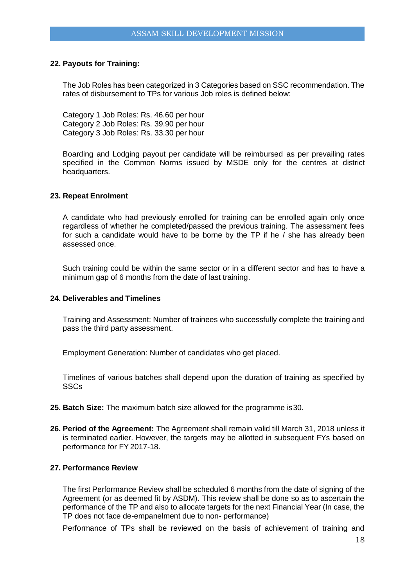#### **22. Payouts for Training:**

The Job Roles has been categorized in 3 Categories based on SSC recommendation. The rates of disbursement to TPs for various Job roles is defined below:

Category 1 Job Roles: Rs. 46.60 per hour Category 2 Job Roles: Rs. 39.90 per hour Category 3 Job Roles: Rs. 33.30 per hour

Boarding and Lodging payout per candidate will be reimbursed as per prevailing rates specified in the Common Norms issued by MSDE only for the centres at district headquarters.

#### **23. Repeat Enrolment**

A candidate who had previously enrolled for training can be enrolled again only once regardless of whether he completed/passed the previous training. The assessment fees for such a candidate would have to be borne by the TP if he / she has already been assessed once.

Such training could be within the same sector or in a different sector and has to have a minimum gap of 6 months from the date of last training.

#### **24. Deliverables and Timelines**

Training and Assessment: Number of trainees who successfully complete the training and pass the third party assessment.

Employment Generation: Number of candidates who get placed.

Timelines of various batches shall depend upon the duration of training as specified by SSCs

- **25. Batch Size:** The maximum batch size allowed for the programme is30.
- **26. Period of the Agreement:** The Agreement shall remain valid till March 31, 2018 unless it is terminated earlier. However, the targets may be allotted in subsequent FYs based on performance for FY 2017-18.

#### **27. Performance Review**

The first Performance Review shall be scheduled 6 months from the date of signing of the Agreement (or as deemed fit by ASDM). This review shall be done so as to ascertain the performance of the TP and also to allocate targets for the next Financial Year (In case, the TP does not face de-empanelment due to non- performance)

Performance of TPs shall be reviewed on the basis of achievement of training and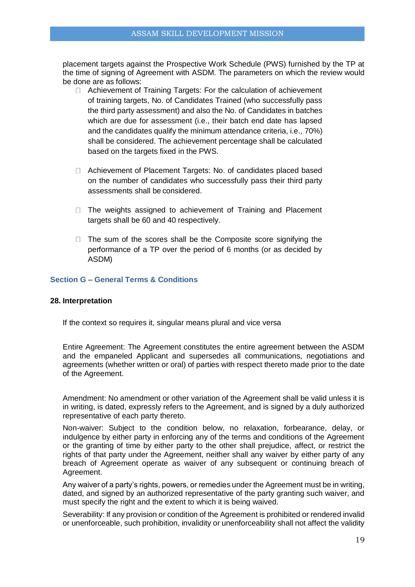placement targets against the Prospective Work Schedule (PWS) furnished by the TP at the time of signing of Agreement with ASDM. The parameters on which the review would be done are as follows:

- □ Achievement of Training Targets: For the calculation of achievement of training targets, No. of Candidates Trained (who successfully pass the third party assessment) and also the No. of Candidates in batches which are due for assessment (i.e., their batch end date has lapsed and the candidates qualify the minimum attendance criteria, i.e., 70%) shall be considered. The achievement percentage shall be calculated based on the targets fixed in the PWS.
- Achievement of Placement Targets: No. of candidates placed based on the number of candidates who successfully pass their third party assessments shall be considered.
- $\Box$  The weights assigned to achievement of Training and Placement targets shall be 60 and 40 respectively.
- $\Box$  The sum of the scores shall be the Composite score signifying the performance of a TP over the period of 6 months (or as decided by ASDM)

#### **Section G – General Terms & Conditions**

#### **28. Interpretation**

If the context so requires it, singular means plural and vice versa

Entire Agreement: The Agreement constitutes the entire agreement between the ASDM and the empaneled Applicant and supersedes all communications, negotiations and agreements (whether written or oral) of parties with respect thereto made prior to the date of the Agreement.

Amendment: No amendment or other variation of the Agreement shall be valid unless it is in writing, is dated, expressly refers to the Agreement, and is signed by a duly authorized representative of each party thereto.

Non-waiver: Subject to the condition below, no relaxation, forbearance, delay, or indulgence by either party in enforcing any of the terms and conditions of the Agreement or the granting of time by either party to the other shall prejudice, affect, or restrict the rights of that party under the Agreement, neither shall any waiver by either party of any breach of Agreement operate as waiver of any subsequent or continuing breach of Agreement.

Any waiver of a party's rights, powers, or remedies under the Agreement must be in writing, dated, and signed by an authorized representative of the party granting such waiver, and must specify the right and the extent to which it is being waived.

Severability: If any provision or condition of the Agreement is prohibited or rendered invalid or unenforceable, such prohibition, invalidity or unenforceability shall not affect the validity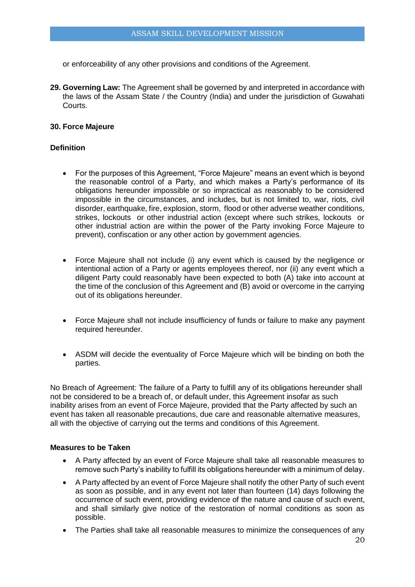or enforceability of any other provisions and conditions of the Agreement.

**29. Governing Law:** The Agreement shall be governed by and interpreted in accordance with the laws of the Assam State / the Country (India) and under the jurisdiction of Guwahati Courts.

### **30. Force Majeure**

#### **Definition**

- For the purposes of this Agreement, "Force Majeure" means an event which is beyond the reasonable control of a Party, and which makes a Party's performance of its obligations hereunder impossible or so impractical as reasonably to be considered impossible in the circumstances, and includes, but is not limited to, war, riots, civil disorder, earthquake, fire, explosion, storm, flood or other adverse weather conditions, strikes, lockouts or other industrial action (except where such strikes, lockouts or other industrial action are within the power of the Party invoking Force Majeure to prevent), confiscation or any other action by government agencies.
- Force Majeure shall not include (i) any event which is caused by the negligence or intentional action of a Party or agents employees thereof, nor (ii) any event which a diligent Party could reasonably have been expected to both (A) take into account at the time of the conclusion of this Agreement and (B) avoid or overcome in the carrying out of its obligations hereunder.
- Force Majeure shall not include insufficiency of funds or failure to make any payment required hereunder.
- ASDM will decide the eventuality of Force Majeure which will be binding on both the parties.

No Breach of Agreement: The failure of a Party to fulfill any of its obligations hereunder shall not be considered to be a breach of, or default under, this Agreement insofar as such inability arises from an event of Force Majeure, provided that the Party affected by such an event has taken all reasonable precautions, due care and reasonable alternative measures, all with the objective of carrying out the terms and conditions of this Agreement.

### **Measures to be Taken**

- A Party affected by an event of Force Majeure shall take all reasonable measures to remove such Party's inability to fulfill its obligations hereunder with a minimum of delay.
- A Party affected by an event of Force Majeure shall notify the other Party of such event as soon as possible, and in any event not later than fourteen (14) days following the occurrence of such event, providing evidence of the nature and cause of such event, and shall similarly give notice of the restoration of normal conditions as soon as possible.
- The Parties shall take all reasonable measures to minimize the consequences of any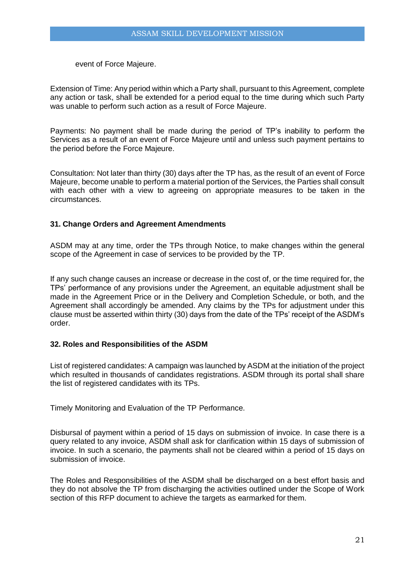event of Force Majeure.

Extension of Time: Any period within which a Party shall, pursuant to this Agreement, complete any action or task, shall be extended for a period equal to the time during which such Party was unable to perform such action as a result of Force Majeure.

Payments: No payment shall be made during the period of TP's inability to perform the Services as a result of an event of Force Majeure until and unless such payment pertains to the period before the Force Majeure.

Consultation: Not later than thirty (30) days after the TP has, as the result of an event of Force Majeure, become unable to perform a material portion of the Services, the Parties shall consult with each other with a view to agreeing on appropriate measures to be taken in the circumstances.

## **31. Change Orders and Agreement Amendments**

ASDM may at any time, order the TPs through Notice, to make changes within the general scope of the Agreement in case of services to be provided by the TP.

If any such change causes an increase or decrease in the cost of, or the time required for, the TPs' performance of any provisions under the Agreement, an equitable adjustment shall be made in the Agreement Price or in the Delivery and Completion Schedule, or both, and the Agreement shall accordingly be amended. Any claims by the TPs for adjustment under this clause must be asserted within thirty (30) days from the date of the TPs' receipt of the ASDM's order.

#### **32. Roles and Responsibilities of the ASDM**

List of registered candidates: A campaign was launched by ASDM at the initiation of the project which resulted in thousands of candidates registrations. ASDM through its portal shall share the list of registered candidates with its TPs.

Timely Monitoring and Evaluation of the TP Performance.

Disbursal of payment within a period of 15 days on submission of invoice. In case there is a query related to any invoice, ASDM shall ask for clarification within 15 days of submission of invoice. In such a scenario, the payments shall not be cleared within a period of 15 days on submission of invoice.

The Roles and Responsibilities of the ASDM shall be discharged on a best effort basis and they do not absolve the TP from discharging the activities outlined under the Scope of Work section of this RFP document to achieve the targets as earmarked for them.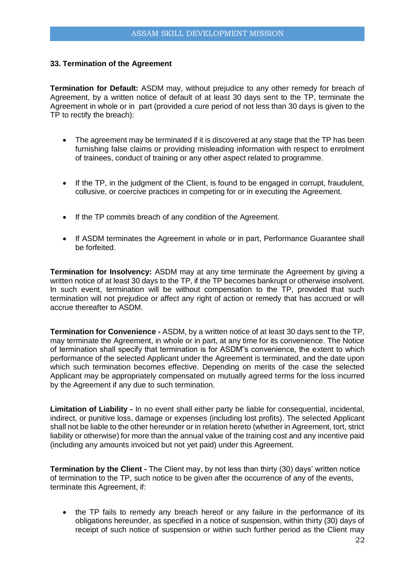#### **33. Termination of the Agreement**

**Termination for Default:** ASDM may, without prejudice to any other remedy for breach of Agreement, by a written notice of default of at least 30 days sent to the TP, terminate the Agreement in whole or in part (provided a cure period of not less than 30 days is given to the TP to rectify the breach):

- The agreement may be terminated if it is discovered at any stage that the TP has been furnishing false claims or providing misleading information with respect to enrolment of trainees, conduct of training or any other aspect related to programme.
- If the TP, in the judgment of the Client, is found to be engaged in corrupt, fraudulent, collusive, or coercive practices in competing for or in executing the Agreement.
- If the TP commits breach of any condition of the Agreement.
- If ASDM terminates the Agreement in whole or in part, Performance Guarantee shall be forfeited.

**Termination for Insolvency:** ASDM may at any time terminate the Agreement by giving a written notice of at least 30 days to the TP, if the TP becomes bankrupt or otherwise insolvent. In such event, termination will be without compensation to the TP, provided that such termination will not prejudice or affect any right of action or remedy that has accrued or will accrue thereafter to ASDM.

**Termination for Convenience -** ASDM, by a written notice of at least 30 days sent to the TP, may terminate the Agreement, in whole or in part, at any time for its convenience. The Notice of termination shall specify that termination is for ASDM"s convenience, the extent to which performance of the selected Applicant under the Agreement is terminated, and the date upon which such termination becomes effective. Depending on merits of the case the selected Applicant may be appropriately compensated on mutually agreed terms for the loss incurred by the Agreement if any due to such termination.

**Limitation of Liability -** In no event shall either party be liable for consequential, incidental, indirect, or punitive loss, damage or expenses (including lost profits). The selected Applicant shall not be liable to the other hereunder or in relation hereto (whether in Agreement, tort, strict liability or otherwise) for more than the annual value of the training cost and any incentive paid (including any amounts invoiced but not yet paid) under this Agreement.

**Termination by the Client -** The Client may, by not less than thirty (30) days' written notice of termination to the TP, such notice to be given after the occurrence of any of the events, terminate this Agreement, if:

• the TP fails to remedy any breach hereof or any failure in the performance of its obligations hereunder, as specified in a notice of suspension, within thirty (30) days of receipt of such notice of suspension or within such further period as the Client may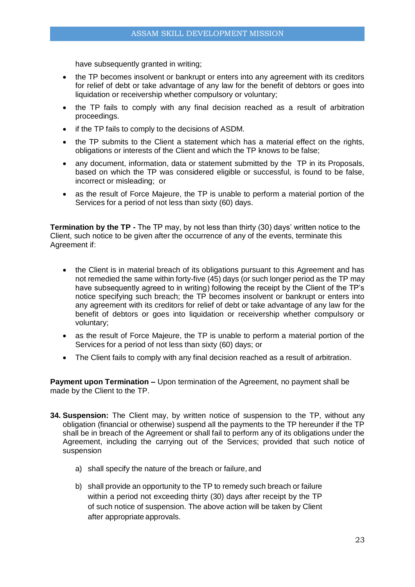have subsequently granted in writing;

- the TP becomes insolvent or bankrupt or enters into any agreement with its creditors for relief of debt or take advantage of any law for the benefit of debtors or goes into liquidation or receivership whether compulsory or voluntary;
- the TP fails to comply with any final decision reached as a result of arbitration proceedings.
- if the TP fails to comply to the decisions of ASDM.
- the TP submits to the Client a statement which has a material effect on the rights, obligations or interests of the Client and which the TP knows to be false;
- any document, information, data or statement submitted by the TP in its Proposals, based on which the TP was considered eligible or successful, is found to be false, incorrect or misleading; or
- as the result of Force Majeure, the TP is unable to perform a material portion of the Services for a period of not less than sixty (60) days.

**Termination by the TP -** The TP may, by not less than thirty (30) days' written notice to the Client, such notice to be given after the occurrence of any of the events, terminate this Agreement if:

- the Client is in material breach of its obligations pursuant to this Agreement and has not remedied the same within forty-five (45) days (or such longer period as the TP may have subsequently agreed to in writing) following the receipt by the Client of the TP's notice specifying such breach; the TP becomes insolvent or bankrupt or enters into any agreement with its creditors for relief of debt or take advantage of any law for the benefit of debtors or goes into liquidation or receivership whether compulsory or voluntary;
- as the result of Force Majeure, the TP is unable to perform a material portion of the Services for a period of not less than sixty (60) days; or
- The Client fails to comply with any final decision reached as a result of arbitration.

**Payment upon Termination –** Upon termination of the Agreement, no payment shall be made by the Client to the TP.

- **34. Suspension:** The Client may, by written notice of suspension to the TP, without any obligation (financial or otherwise) suspend all the payments to the TP hereunder if the TP shall be in breach of the Agreement or shall fail to perform any of its obligations under the Agreement, including the carrying out of the Services; provided that such notice of suspension
	- a) shall specify the nature of the breach or failure, and
	- b) shall provide an opportunity to the TP to remedy such breach or failure within a period not exceeding thirty (30) days after receipt by the TP of such notice of suspension. The above action will be taken by Client after appropriate approvals.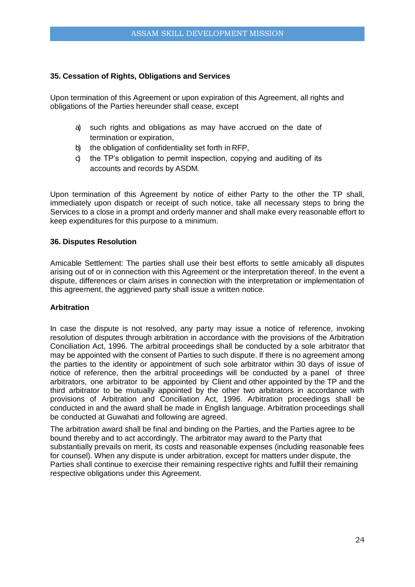### **35. Cessation of Rights, Obligations and Services**

Upon termination of this Agreement or upon expiration of this Agreement, all rights and obligations of the Parties hereunder shall cease, except

- a) such rights and obligations as may have accrued on the date of termination or expiration,
- b) the obligation of confidentiality set forth in RFP,
- c) the TP's obligation to permit inspection, copying and auditing of its accounts and records by ASDM.

Upon termination of this Agreement by notice of either Party to the other the TP shall, immediately upon dispatch or receipt of such notice, take all necessary steps to bring the Services to a close in a prompt and orderly manner and shall make every reasonable effort to keep expenditures for this purpose to a minimum.

#### **36. Disputes Resolution**

Amicable Settlement: The parties shall use their best efforts to settle amicably all disputes arising out of or in connection with this Agreement or the interpretation thereof. In the event a dispute, differences or claim arises in connection with the interpretation or implementation of this agreement, the aggrieved party shall issue a written notice.

#### **Arbitration**

In case the dispute is not resolved, any party may issue a notice of reference, invoking resolution of disputes through arbitration in accordance with the provisions of the Arbitration Conciliation Act, 1996. The arbitral proceedings shall be conducted by a sole arbitrator that may be appointed with the consent of Parties to such dispute. If there is no agreement among the parties to the identity or appointment of such sole arbitrator within 30 days of issue of notice of reference, then the arbitral proceedings will be conducted by a panel of three arbitrators, one arbitrator to be appointed by Client and other appointed by the TP and the third arbitrator to be mutually appointed by the other two arbitrators in accordance with provisions of Arbitration and Conciliation Act, 1996. Arbitration proceedings shall be conducted in and the award shall be made in English language. Arbitration proceedings shall be conducted at Guwahati and following are agreed.

The arbitration award shall be final and binding on the Parties, and the Parties agree to be bound thereby and to act accordingly. The arbitrator may award to the Party that substantially prevails on merit, its costs and reasonable expenses (including reasonable fees for counsel). When any dispute is under arbitration, except for matters under dispute, the Parties shall continue to exercise their remaining respective rights and fulfill their remaining respective obligations under this Agreement.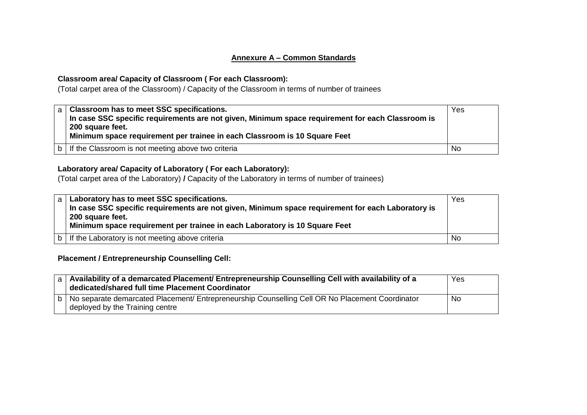## **Annexure A – Common Standards**

## **Classroom area/ Capacity of Classroom ( For each Classroom):**

(Total carpet area of the Classroom) / Capacity of the Classroom in terms of number of trainees

| a   Classroom has to meet SSC specifications.<br>In case SSC specific requirements are not given, Minimum space requirement for each Classroom is<br>200 square feet.<br>Minimum space requirement per trainee in each Classroom is 10 Square Feet | Yes       |
|----------------------------------------------------------------------------------------------------------------------------------------------------------------------------------------------------------------------------------------------------|-----------|
| b   If the Classroom is not meeting above two criteria                                                                                                                                                                                             | <b>No</b> |

## **Laboratory area/ Capacity of Laboratory ( For each Laboratory):**

(Total carpet area of the Laboratory) **/** Capacity of the Laboratory in terms of number of trainees)

| a l | Laboratory has to meet SSC specifications.<br>In case SSC specific requirements are not given, Minimum space requirement for each Laboratory is<br>200 square feet.<br>Minimum space requirement per trainee in each Laboratory is 10 Square Feet | Yes       |
|-----|---------------------------------------------------------------------------------------------------------------------------------------------------------------------------------------------------------------------------------------------------|-----------|
| h   | If the Laboratory is not meeting above criteria                                                                                                                                                                                                   | <b>No</b> |

**Placement / Entrepreneurship Counselling Cell:** 

| a   Availability of a demarcated Placement/ Entrepreneurship Counselling Cell with availability of a<br>dedicated/shared full time Placement Coordinator | Yes |
|----------------------------------------------------------------------------------------------------------------------------------------------------------|-----|
| b   No separate demarcated Placement/ Entrepreneurship Counselling Cell OR No Placement Coordinator<br>deployed by the Training centre                   | No  |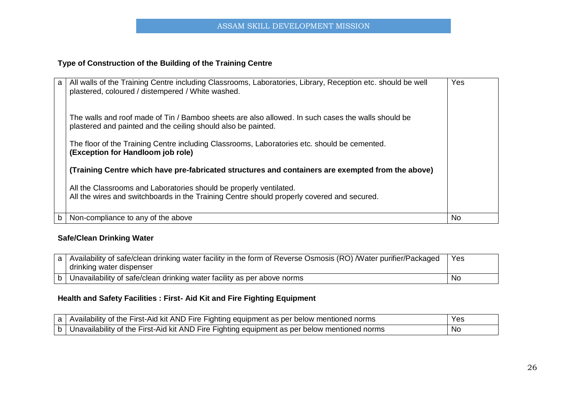## **Type of Construction of the Building of the Training Centre**

| a | All walls of the Training Centre including Classrooms, Laboratories, Library, Reception etc. should be well<br>plastered, coloured / distempered / White washed.    | Yes       |
|---|---------------------------------------------------------------------------------------------------------------------------------------------------------------------|-----------|
|   | The walls and roof made of Tin / Bamboo sheets are also allowed. In such cases the walls should be<br>plastered and painted and the ceiling should also be painted. |           |
|   | The floor of the Training Centre including Classrooms, Laboratories etc. should be cemented.<br>(Exception for Handloom job role)                                   |           |
|   | (Training Centre which have pre-fabricated structures and containers are exempted from the above)                                                                   |           |
|   | All the Classrooms and Laboratories should be properly ventilated.<br>All the wires and switchboards in the Training Centre should properly covered and secured.    |           |
| b | Non-compliance to any of the above                                                                                                                                  | <b>No</b> |

# **Safe/Clean Drinking Water**

|  | a   Availability of safe/clean drinking water facility in the form of Reverse Osmosis (RO) Mater purifier/Packaged | Yes |
|--|--------------------------------------------------------------------------------------------------------------------|-----|
|  | drinking water dispenser                                                                                           |     |
|  | p   Unavailability of safe/clean drinking water facility as per above norms                                        | No  |

## **Health and Safety Facilities : First- Aid Kit and Fire Fighting Equipment**

| a   Availability of the First-Aid kit AND Fire Fighting equipment as per below mentioned norms   | Yes |
|--------------------------------------------------------------------------------------------------|-----|
| b   Unavailability of the First-Aid kit AND Fire Fighting equipment as per below mentioned norms | No  |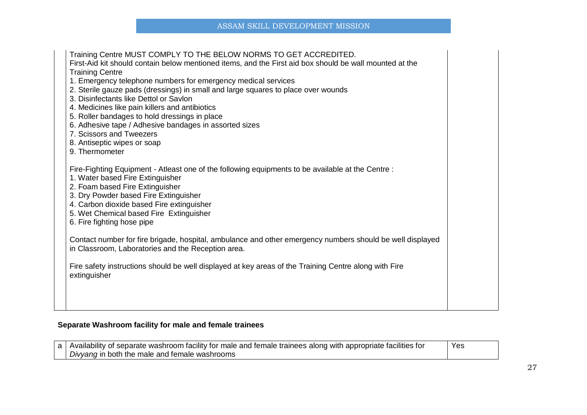| Training Centre MUST COMPLY TO THE BELOW NORMS TO GET ACCREDITED.<br>First-Aid kit should contain below mentioned items, and the First aid box should be wall mounted at the<br><b>Training Centre</b><br>1. Emergency telephone numbers for emergency medical services<br>2. Sterile gauze pads (dressings) in small and large squares to place over wounds<br>3. Disinfectants like Dettol or Savlon<br>4. Medicines like pain killers and antibiotics<br>5. Roller bandages to hold dressings in place<br>6. Adhesive tape / Adhesive bandages in assorted sizes<br>7. Scissors and Tweezers<br>8. Antiseptic wipes or soap<br>9. Thermometer |  |
|--------------------------------------------------------------------------------------------------------------------------------------------------------------------------------------------------------------------------------------------------------------------------------------------------------------------------------------------------------------------------------------------------------------------------------------------------------------------------------------------------------------------------------------------------------------------------------------------------------------------------------------------------|--|
| Fire-Fighting Equipment - Atleast one of the following equipments to be available at the Centre :<br>1. Water based Fire Extinguisher<br>2. Foam based Fire Extinguisher<br>3. Dry Powder based Fire Extinguisher<br>4. Carbon dioxide based Fire extinguisher<br>5. Wet Chemical based Fire Extinguisher<br>6. Fire fighting hose pipe                                                                                                                                                                                                                                                                                                          |  |
| Contact number for fire brigade, hospital, ambulance and other emergency numbers should be well displayed<br>in Classroom, Laboratories and the Reception area.                                                                                                                                                                                                                                                                                                                                                                                                                                                                                  |  |
| Fire safety instructions should be well displayed at key areas of the Training Centre along with Fire<br>extinguisher                                                                                                                                                                                                                                                                                                                                                                                                                                                                                                                            |  |
|                                                                                                                                                                                                                                                                                                                                                                                                                                                                                                                                                                                                                                                  |  |

## **Separate Washroom facility for male and female trainees**

| a   Availability of separate washroom facility for male and female trainees along with appropriate facilities for | Yes |
|-------------------------------------------------------------------------------------------------------------------|-----|
| Divyang in both the male and female washrooms                                                                     |     |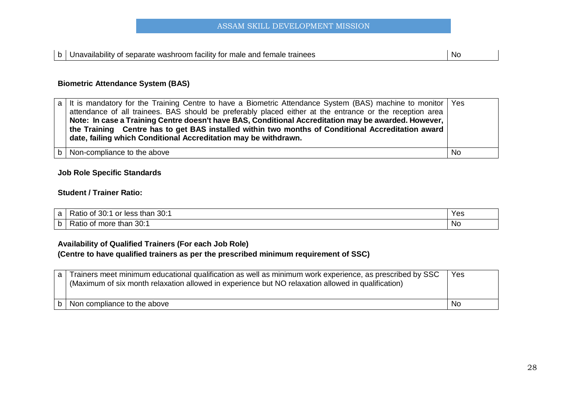## **Biometric Attendance System (BAS)**

| a   It is mandatory for the Training Centre to have a Biometric Attendance System (BAS) machine to monitor   Yes<br>attendance of all trainees. BAS should be preferably placed either at the entrance or the reception area<br>Note: In case a Training Centre doesn't have BAS, Conditional Accreditation may be awarded. However,<br>the Training Centre has to get BAS installed within two months of Conditional Accreditation award<br>date, failing which Conditional Accreditation may be withdrawn. |           |
|--------------------------------------------------------------------------------------------------------------------------------------------------------------------------------------------------------------------------------------------------------------------------------------------------------------------------------------------------------------------------------------------------------------------------------------------------------------------------------------------------------------|-----------|
| $\mathsf{b}$ Non-compliance to the above                                                                                                                                                                                                                                                                                                                                                                                                                                                                     | <b>No</b> |

## **Job Role Specific Standards**

## **Student / Trainer Ratio:**

| a | 30:<br>30:1<br>than<br>Ratio of<br>or less | Yes |
|---|--------------------------------------------|-----|
| b | 30:1<br>Ratio of<br>more than              | No  |

## **Availability of Qualified Trainers (For each Job Role)**

## **(Centre to have qualified trainers as per the prescribed minimum requirement of SSC)**

|   | a Trainers meet minimum educational qualification as well as minimum work experience, as prescribed by SSC<br>(Maximum of six month relaxation allowed in experience but NO relaxation allowed in qualification) | Yes |
|---|------------------------------------------------------------------------------------------------------------------------------------------------------------------------------------------------------------------|-----|
| b | Non compliance to the above                                                                                                                                                                                      | No. |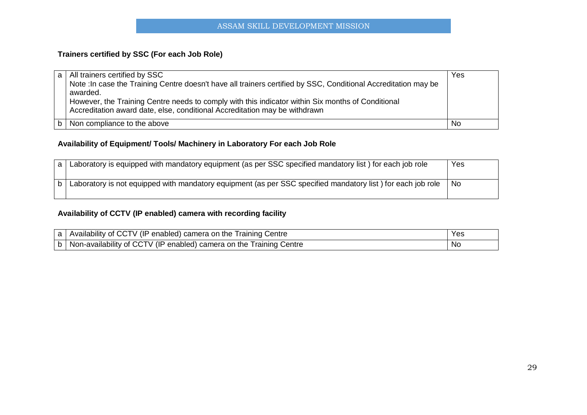## **Trainers certified by SSC (For each Job Role)**

| a l | All trainers certified by SSC<br>Note : In case the Training Centre doesn't have all trainers certified by SSC, Conditional Accreditation may be<br>awarded.<br>However, the Training Centre needs to comply with this indicator within Six months of Conditional<br>Accreditation award date, else, conditional Accreditation may be withdrawn | Yes |
|-----|-------------------------------------------------------------------------------------------------------------------------------------------------------------------------------------------------------------------------------------------------------------------------------------------------------------------------------------------------|-----|
|     | Non compliance to the above                                                                                                                                                                                                                                                                                                                     | No  |

## **Availability of Equipment/ Tools/ Machinery in Laboratory For each Job Role**

| Laboratory is equipped with mandatory equipment (as per SSC specified mandatory list) for each job role     | Yes |
|-------------------------------------------------------------------------------------------------------------|-----|
| Laboratory is not equipped with mandatory equipment (as per SSC specified mandatory list) for each job role | No. |

## **Availability of CCTV (IP enabled) camera with recording facility**

| a   Availability of CCTV (IP enabled) camera on the Training Centre     | Yes |
|-------------------------------------------------------------------------|-----|
| b   Non-availability of CCTV (IP enabled) camera on the Training Centre | No  |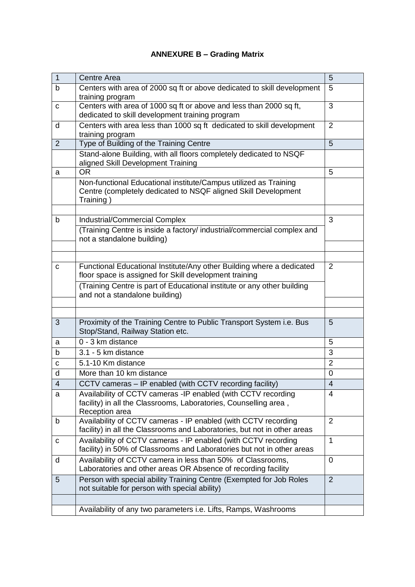# **ANNEXURE B – Grading Matrix**

| $\mathbf{1}$   | Centre Area                                                                                                                                          | 5                       |  |  |
|----------------|------------------------------------------------------------------------------------------------------------------------------------------------------|-------------------------|--|--|
| b              | Centers with area of 2000 sq ft or above dedicated to skill development<br>training program                                                          | 5                       |  |  |
| C              | Centers with area of 1000 sq ft or above and less than 2000 sq ft,<br>dedicated to skill development training program                                | 3                       |  |  |
| d              | Centers with area less than 1000 sq ft dedicated to skill development<br>training program                                                            | $\overline{2}$          |  |  |
| $\overline{2}$ | Type of Building of the Training Centre                                                                                                              | 5                       |  |  |
|                | Stand-alone Building, with all floors completely dedicated to NSQF<br>aligned Skill Development Training                                             |                         |  |  |
| a              | <b>OR</b>                                                                                                                                            | 5                       |  |  |
|                | Non-functional Educational institute/Campus utilized as Training<br>Centre (completely dedicated to NSQF aligned Skill Development<br>Training)      |                         |  |  |
|                |                                                                                                                                                      |                         |  |  |
| b              | <b>Industrial/Commercial Complex</b>                                                                                                                 | 3                       |  |  |
|                | (Training Centre is inside a factory/ industrial/commercial complex and<br>not a standalone building)                                                |                         |  |  |
|                |                                                                                                                                                      |                         |  |  |
|                | Functional Educational Institute/Any other Building where a dedicated                                                                                | $\overline{2}$          |  |  |
| C              | floor space is assigned for Skill development training                                                                                               |                         |  |  |
|                | (Training Centre is part of Educational institute or any other building<br>and not a standalone building)                                            |                         |  |  |
|                |                                                                                                                                                      |                         |  |  |
|                |                                                                                                                                                      |                         |  |  |
| 3              | Proximity of the Training Centre to Public Transport System i.e. Bus<br>Stop/Stand, Railway Station etc.                                             | 5                       |  |  |
| a              | 0 - 3 km distance                                                                                                                                    | 5                       |  |  |
| b              | 3.1 - 5 km distance                                                                                                                                  | 3                       |  |  |
| C              | 5.1-10 Km distance                                                                                                                                   | $\overline{2}$          |  |  |
| d              | More than 10 km distance                                                                                                                             | $\mathbf 0$             |  |  |
| 4              | CCTV cameras - IP enabled (with CCTV recording facility)                                                                                             | $\overline{\mathbf{4}}$ |  |  |
| a              | Availability of CCTV cameras - IP enabled (with CCTV recording<br>facility) in all the Classrooms, Laboratories, Counselling area,<br>Reception area | 4                       |  |  |
| b              | Availability of CCTV cameras - IP enabled (with CCTV recording<br>facility) in all the Classrooms and Laboratories, but not in other areas           | $\overline{2}$          |  |  |
| c              | Availability of CCTV cameras - IP enabled (with CCTV recording<br>facility) in 50% of Classrooms and Laboratories but not in other areas             | 1                       |  |  |
| d              | Availability of CCTV camera in less than 50% of Classrooms,<br>Laboratories and other areas OR Absence of recording facility                         | $\mathbf 0$             |  |  |
| 5              | Person with special ability Training Centre (Exempted for Job Roles<br>not suitable for person with special ability)                                 | 2                       |  |  |
|                |                                                                                                                                                      |                         |  |  |
|                | Availability of any two parameters i.e. Lifts, Ramps, Washrooms                                                                                      |                         |  |  |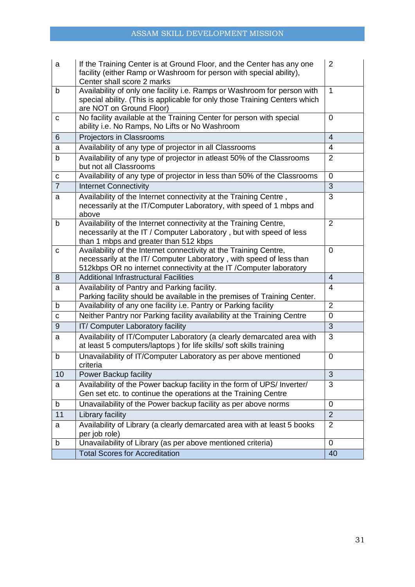| a              | If the Training Center is at Ground Floor, and the Center has any one<br>facility (either Ramp or Washroom for person with special ability),<br>Center shall score 2 marks                                      |                |  |  |  |
|----------------|-----------------------------------------------------------------------------------------------------------------------------------------------------------------------------------------------------------------|----------------|--|--|--|
| b              | Availability of only one facility i.e. Ramps or Washroom for person with<br>special ability. (This is applicable for only those Training Centers which<br>are NOT on Ground Floor)                              | $\mathbf{1}$   |  |  |  |
| C              | No facility available at the Training Center for person with special<br>0<br>ability i.e. No Ramps, No Lifts or No Washroom                                                                                     |                |  |  |  |
| 6              | Projectors in Classrooms                                                                                                                                                                                        | $\overline{4}$ |  |  |  |
| a              | Availability of any type of projector in all Classrooms                                                                                                                                                         | $\overline{4}$ |  |  |  |
| b              | Availability of any type of projector in atleast 50% of the Classrooms<br>but not all Classrooms                                                                                                                | $\overline{2}$ |  |  |  |
| с              | Availability of any type of projector in less than 50% of the Classrooms                                                                                                                                        | $\mathbf 0$    |  |  |  |
| $\overline{7}$ | <b>Internet Connectivity</b>                                                                                                                                                                                    | 3              |  |  |  |
| a              | Availability of the Internet connectivity at the Training Centre,<br>necessarily at the IT/Computer Laboratory, with speed of 1 mbps and<br>above                                                               |                |  |  |  |
| b              | Availability of the Internet connectivity at the Training Centre,<br>necessarily at the IT / Computer Laboratory, but with speed of less<br>than 1 mbps and greater than 512 kbps                               | $\overline{2}$ |  |  |  |
| $\mathbf C$    | Availability of the Internet connectivity at the Training Centre,<br>necessarily at the IT/ Computer Laboratory, with speed of less than<br>512kbps OR no internet connectivity at the IT / Computer laboratory |                |  |  |  |
| 8              | <b>Additional Infrastructural Facilities</b>                                                                                                                                                                    | 4              |  |  |  |
| a              | Availability of Pantry and Parking facility.<br>Parking facility should be available in the premises of Training Center.                                                                                        | $\overline{4}$ |  |  |  |
| b              | Availability of any one facility i.e. Pantry or Parking facility                                                                                                                                                | $\overline{2}$ |  |  |  |
| С              | Neither Pantry nor Parking facility availability at the Training Centre                                                                                                                                         | 0              |  |  |  |
| 9              | IT/ Computer Laboratory facility                                                                                                                                                                                | 3              |  |  |  |
| a              | Availability of IT/Computer Laboratory (a clearly demarcated area with<br>at least 5 computers/laptops) for life skills/ soft skills training                                                                   | 3              |  |  |  |
| b              | Unavailability of IT/Computer Laboratory as per above mentioned<br>criteria                                                                                                                                     | 0              |  |  |  |
| 10             | Power Backup facility                                                                                                                                                                                           | 3              |  |  |  |
| a              | Availability of the Power backup facility in the form of UPS/ Inverter/<br>Gen set etc. to continue the operations at the Training Centre                                                                       |                |  |  |  |
| b              | Unavailability of the Power backup facility as per above norms                                                                                                                                                  |                |  |  |  |
| 11             | Library facility                                                                                                                                                                                                | $\overline{2}$ |  |  |  |
| a              | Availability of Library (a clearly demarcated area with at least 5 books<br>per job role)                                                                                                                       |                |  |  |  |
| b              | Unavailability of Library (as per above mentioned criteria)                                                                                                                                                     | 0              |  |  |  |
|                | <b>Total Scores for Accreditation</b>                                                                                                                                                                           | 40             |  |  |  |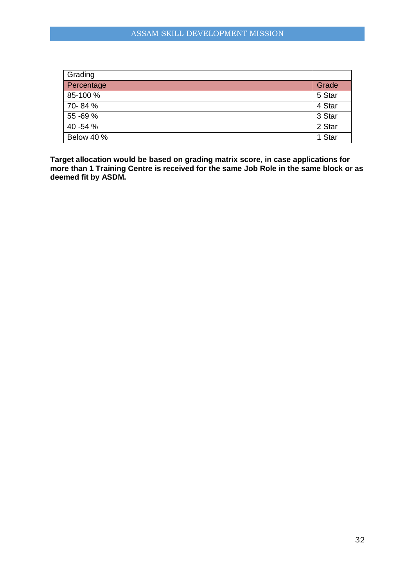| Grading    |        |
|------------|--------|
| Percentage | Grade  |
| 85-100 %   | 5 Star |
| 70-84%     | 4 Star |
| 55 - 69 %  | 3 Star |
| 40 - 54 %  | 2 Star |
| Below 40 % | 1 Star |

**Target allocation would be based on grading matrix score, in case applications for more than 1 Training Centre is received for the same Job Role in the same block or as deemed fit by ASDM.**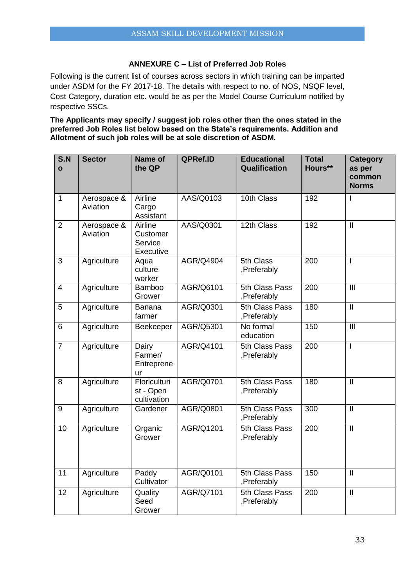## **ANNEXURE C – List of Preferred Job Roles**

Following is the current list of courses across sectors in which training can be imparted under ASDM for the FY 2017-18. The details with respect to no. of NOS, NSQF level, Cost Category, duration etc. would be as per the Model Course Curriculum notified by respective SSCs.

**The Applicants may specify / suggest job roles other than the ones stated in the preferred Job Roles list below based on the State's requirements. Addition and Allotment of such job roles will be at sole discretion of ASDM.**

| S.N<br>$\mathbf{o}$ | <b>Sector</b>           | Name of<br>the QP                           | QPRef.ID         | <b>Educational</b><br>Qualification | <b>Total</b><br>Hours** | <b>Category</b><br>as per<br>common<br><b>Norms</b> |
|---------------------|-------------------------|---------------------------------------------|------------------|-------------------------------------|-------------------------|-----------------------------------------------------|
| $\mathbf{1}$        | Aerospace &<br>Aviation | Airline<br>Cargo<br>Assistant               | AAS/Q0103        | 10th Class                          | 192                     | $\mathbf{I}$                                        |
| $\overline{2}$      | Aerospace &<br>Aviation | Airline<br>Customer<br>Service<br>Executive | AAS/Q0301        | 12th Class                          | 192                     | $\mathbf{I}$                                        |
| 3                   | Agriculture             | Aqua<br>culture<br>worker                   | AGR/Q4904        | 5th Class<br>,Preferably            | 200                     | T                                                   |
| 4                   | Agriculture             | Bamboo<br>Grower                            | AGR/Q6101        | 5th Class Pass<br>,Preferably       | 200                     | III                                                 |
| $\overline{5}$      | Agriculture             | <b>Banana</b><br>farmer                     | AGR/Q0301        | 5th Class Pass<br>,Preferably       | 180                     | $\mathbf{I}$                                        |
| 6                   | Agriculture             | Beekeeper                                   | AGR/Q5301        | No formal<br>education              | 150                     | $\overline{III}$                                    |
| $\overline{7}$      | Agriculture             | Dairy<br>Farmer/<br>Entreprene<br>ur        | AGR/Q4101        | 5th Class Pass<br>,Preferably       | $\overline{200}$        | T                                                   |
| 8                   | Agriculture             | Floriculturi<br>st - Open<br>cultivation    | AGR/Q0701        | 5th Class Pass<br>,Preferably       | 180                     | $\mathbf{I}$                                        |
| 9                   | Agriculture             | Gardener                                    | <b>AGR/Q0801</b> | 5th Class Pass<br>,Preferably       | 300                     | $\mathbf{I}$                                        |
| $\overline{10}$     | Agriculture             | Organic<br>Grower                           | <b>AGR/Q1201</b> | 5th Class Pass<br>,Preferably       | $\overline{200}$        | $\overline{\mathsf{I}}$                             |
| 11                  | Agriculture             | Paddy<br>Cultivator                         | AGR/Q0101        | 5th Class Pass<br>,Preferably       | 150                     | $\mathbf{I}$                                        |
| $\overline{12}$     | Agriculture             | Quality<br>Seed<br>Grower                   | AGR/Q7101        | 5th Class Pass<br>,Preferably       | 200                     | $\overline{\mathbb{I}}$                             |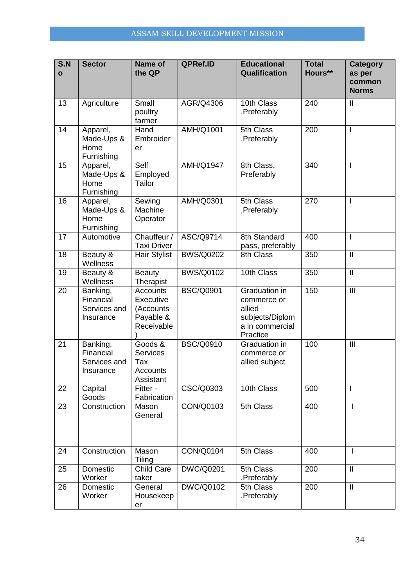| S.N<br>$\mathbf{o}$ | <b>Sector</b>                                      | Name of<br>the QP                                                    | QPRef.ID         | <b>Educational</b><br>Qualification                                                      | <b>Total</b><br>Hours** | <b>Category</b><br>as per<br>common<br><b>Norms</b>                                                                                                                                                                                                                                                                                                                                                   |
|---------------------|----------------------------------------------------|----------------------------------------------------------------------|------------------|------------------------------------------------------------------------------------------|-------------------------|-------------------------------------------------------------------------------------------------------------------------------------------------------------------------------------------------------------------------------------------------------------------------------------------------------------------------------------------------------------------------------------------------------|
| 13                  | Agriculture                                        | Small<br>poultry<br>farmer                                           | AGR/Q4306        | 10th Class<br>,Preferably                                                                | 240                     | $\mathbf{  }$                                                                                                                                                                                                                                                                                                                                                                                         |
| 14                  | Apparel,<br>Made-Ups &<br>Home<br>Furnishing       | Hand<br>Embroider<br>er                                              | <b>AMH/Q1001</b> | 5th Class<br>,Preferably                                                                 | 200                     | I                                                                                                                                                                                                                                                                                                                                                                                                     |
| 15                  | Apparel,<br>Made-Ups &<br>Home<br>Furnishing       | Self<br>Employed<br>Tailor                                           | <b>AMH/Q1947</b> | 8th Class,<br>Preferably                                                                 | 340                     | I                                                                                                                                                                                                                                                                                                                                                                                                     |
| 16                  | Apparel,<br>Made-Ups &<br>Home<br>Furnishing       | Sewing<br>Machine<br>Operator                                        | AMH/Q0301        | 5th Class<br>,Preferably                                                                 | 270                     | $\mathsf{l}$                                                                                                                                                                                                                                                                                                                                                                                          |
| 17                  | Automotive                                         | Chauffeur /<br><b>Taxi Driver</b>                                    | ASC/Q9714        | 8th Standard<br>pass, preferably                                                         | 400                     | $\mathsf{l}$                                                                                                                                                                                                                                                                                                                                                                                          |
| 18                  | Beauty &<br>Wellness                               | Hair Stylist                                                         | <b>BWS/Q0202</b> | 8th Class                                                                                | 350                     | $\mathbf{I}$                                                                                                                                                                                                                                                                                                                                                                                          |
| 19                  | Beauty &<br>Wellness                               | <b>Beauty</b><br>Therapist                                           | <b>BWS/Q0102</b> | 10th Class                                                                               | 350                     | $\mathbf{  }% =\mathbf{1}^{T}\mathbf{1}^{T}\mathbf{1}^{T}\mathbf{1}^{T}\mathbf{1}^{T}\mathbf{1}^{T}\mathbf{1}^{T}\mathbf{1}^{T}\mathbf{1}^{T}\mathbf{1}^{T}\mathbf{1}^{T}\mathbf{1}^{T}\mathbf{1}^{T}\mathbf{1}^{T}\mathbf{1}^{T}\mathbf{1}^{T}\mathbf{1}^{T}\mathbf{1}^{T}\mathbf{1}^{T}\mathbf{1}^{T}\mathbf{1}^{T}\mathbf{1}^{T}\mathbf{1}^{T}\mathbf{1}^{T}\mathbf{1}^{T}\mathbf{1}^{T}\mathbf{1$ |
| 20                  | Banking,<br>Financial<br>Services and<br>Insurance | <b>Accounts</b><br>Executive<br>(Accounts<br>Payable &<br>Receivable | <b>BSC/Q0901</b> | Graduation in<br>commerce or<br>allied<br>subjects/Diplom<br>a in commercial<br>Practice | 150                     | $\mathbf{III}$                                                                                                                                                                                                                                                                                                                                                                                        |
| 21                  | Banking,<br>Financial<br>Services and<br>Insurance | Goods &<br><b>Services</b><br>Tax<br>Accounts<br>Assistant           | <b>BSC/Q0910</b> | Graduation in<br>commerce or<br>allied subject                                           | 100                     | $\mathbf{III}$                                                                                                                                                                                                                                                                                                                                                                                        |
| 22                  | Capital<br>Goods                                   | Fitter -<br>Fabrication                                              | CSC/Q0303        | 10th Class                                                                               | 500                     | I                                                                                                                                                                                                                                                                                                                                                                                                     |
| 23                  | Construction                                       | Mason<br>General                                                     | CON/Q0103        | 5th Class                                                                                | 400                     | I.                                                                                                                                                                                                                                                                                                                                                                                                    |
| 24                  | Construction                                       | Mason<br>Tiling                                                      | CON/Q0104        | 5th Class                                                                                | 400                     | L                                                                                                                                                                                                                                                                                                                                                                                                     |
| 25                  | Domestic<br>Worker                                 | Child Care<br>taker                                                  | <b>DWC/Q0201</b> | 5th Class<br>,Preferably                                                                 | 200                     | $\mathbf{I}$                                                                                                                                                                                                                                                                                                                                                                                          |
| 26                  | Domestic<br>Worker                                 | General<br>Housekeep<br>er                                           | <b>DWC/Q0102</b> | 5th Class<br>,Preferably                                                                 | 200                     | $\ensuremath{\mathsf{II}}$                                                                                                                                                                                                                                                                                                                                                                            |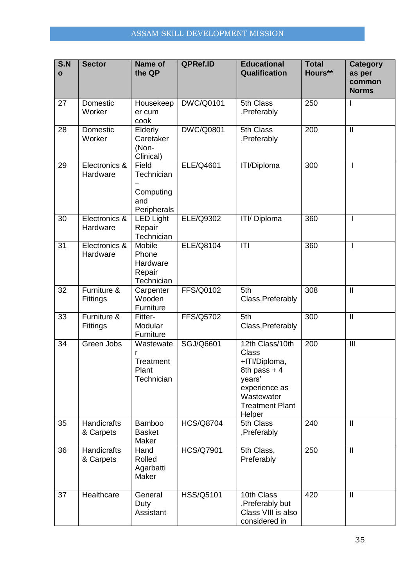| S.N<br>$\mathbf{o}$ | <b>Sector</b>             | Name of<br>the QP                                          | QPRef.ID         | <b>Educational</b><br>Qualification                                                                                                            | <b>Total</b><br>Hours** | <b>Category</b><br>as per<br>common<br><b>Norms</b> |
|---------------------|---------------------------|------------------------------------------------------------|------------------|------------------------------------------------------------------------------------------------------------------------------------------------|-------------------------|-----------------------------------------------------|
| 27                  | Domestic<br>Worker        | Housekeep<br>er cum<br>cook                                | <b>DWC/Q0101</b> | 5th Class<br>,Preferably                                                                                                                       | 250                     |                                                     |
| 28                  | Domestic<br>Worker        | Elderly<br>Caretaker<br>(Non-<br>Clinical)                 | <b>DWC/Q0801</b> | 5th Class<br>,Preferably                                                                                                                       | 200                     | $\mathbf{  }$                                       |
| 29                  | Electronics &<br>Hardware | Field<br>Technician<br>Computing<br>and<br>Peripherals     | ELE/Q4601        | <b>ITI/Diploma</b>                                                                                                                             | 300                     | L                                                   |
| 30                  | Electronics &<br>Hardware | <b>LED Light</b><br>Repair<br>Technician                   | <b>ELE/Q9302</b> | ITI/ Diploma                                                                                                                                   | 360                     |                                                     |
| 31                  | Electronics &<br>Hardware | <b>Mobile</b><br>Phone<br>Hardware<br>Repair<br>Technician | <b>ELE/Q8104</b> | T                                                                                                                                              | 360                     |                                                     |
| 32                  | Furniture &<br>Fittings   | Carpenter<br>Wooden<br>Furniture                           | FFS/Q0102        | 5th<br>Class, Preferably                                                                                                                       | 308                     | $\ensuremath{\mathsf{II}}$                          |
| 33                  | Furniture &<br>Fittings   | Fitter-<br>Modular<br>Furniture                            | FFS/Q5702        | 5th<br>Class, Preferably                                                                                                                       | 300                     | $\ensuremath{\mathsf{II}}$                          |
| 34                  | Green Jobs                | Wastewate<br>r<br>Treatment<br>Plant<br>Technician         | SGJ/Q6601        | 12th Class/10th<br><b>Class</b><br>+ITI/Diploma,<br>8th pass $+4$<br>years'<br>experience as<br>Wastewater<br><b>Treatment Plant</b><br>Helper | 200                     | $\mathbf{III}$                                      |
| 35                  | Handicrafts<br>& Carpets  | <b>Bamboo</b><br><b>Basket</b><br>Maker                    | <b>HCS/Q8704</b> | 5th Class<br>,Preferably                                                                                                                       | 240                     | $\mathbf{I}$                                        |
| 36                  | Handicrafts<br>& Carpets  | Hand<br>Rolled<br>Agarbatti<br>Maker                       | <b>HCS/Q7901</b> | 5th Class,<br>Preferably                                                                                                                       | 250                     | $\mathop{\textstyle\prod}$                          |
| 37                  | Healthcare                | General<br>Duty<br>Assistant                               | HSS/Q5101        | 10th Class<br>,Preferably but<br>Class VIII is also<br>considered in                                                                           | 420                     | $\mathbf{I}$                                        |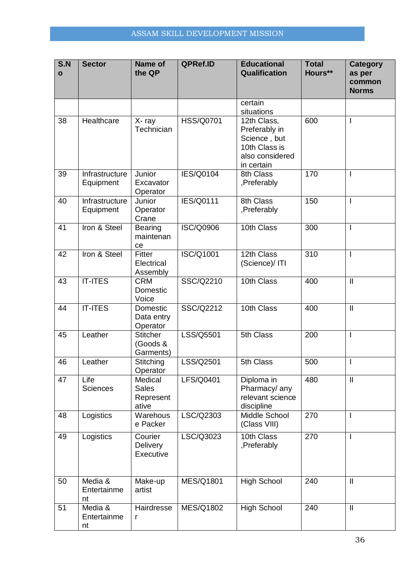| S.N<br>$\mathbf{o}$ | <b>Sector</b>                | Name of<br>the QP                             | QPRef.ID         | <b>Educational</b><br>Qualification                                                            | <b>Total</b><br>Hours** | <b>Category</b><br>as per<br>common<br><b>Norms</b> |
|---------------------|------------------------------|-----------------------------------------------|------------------|------------------------------------------------------------------------------------------------|-------------------------|-----------------------------------------------------|
|                     |                              |                                               |                  | certain<br>situations                                                                          |                         |                                                     |
| 38                  | Healthcare                   | X-ray<br>Technician                           | <b>HSS/Q0701</b> | 12th Class,<br>Preferably in<br>Science, but<br>10th Class is<br>also considered<br>in certain | 600                     | I.                                                  |
| 39                  | Infrastructure<br>Equipment  | Junior<br>Excavator<br>Operator               | <b>IES/Q0104</b> | 8th Class<br>,Preferably                                                                       | 170                     |                                                     |
| 40                  | Infrastructure<br>Equipment  | Junior<br>Operator<br>Crane                   | <b>IES/Q0111</b> | 8th Class<br>,Preferably                                                                       | 150                     | $\overline{1}$                                      |
| 41                  | Iron & Steel                 | <b>Bearing</b><br>maintenan<br>ce             | <b>ISC/Q0906</b> | 10th Class                                                                                     | 300                     |                                                     |
| 42                  | Iron & Steel                 | Fitter<br>Electrical<br>Assembly              | ISC/Q1001        | 12th Class<br>(Science)/ITI                                                                    | 310                     | I.                                                  |
| 43                  | <b>IT-ITES</b>               | <b>CRM</b><br>Domestic<br>Voice               | SSC/Q2210        | 10th Class                                                                                     | 400                     | $\mathbf{II}$                                       |
| 44                  | <b>IT-ITES</b>               | Domestic<br>Data entry<br>Operator            | SSC/Q2212        | 10th Class                                                                                     | 400                     | $\ensuremath{\mathsf{II}}$                          |
| 45                  | Leather                      | <b>Stitcher</b><br>(Goods &<br>Garments)      | LSS/Q5501        | 5th Class                                                                                      | 200                     | ı                                                   |
| 46                  | Leather                      | Stitching<br>Operator                         | LSS/Q2501        | 5th Class                                                                                      | 500                     |                                                     |
| 47                  | Life<br>Sciences             | Medical<br><b>Sales</b><br>Represent<br>ative | LFS/Q0401        | Diploma in<br>Pharmacy/ any<br>relevant science<br>discipline                                  | 480                     | $\mathop{\textstyle\prod}$                          |
| 48                  | Logistics                    | Warehous<br>e Packer                          | LSC/Q2303        | Middle School<br>(Class VIII)                                                                  | 270                     |                                                     |
| 49                  | Logistics                    | Courier<br><b>Delivery</b><br>Executive       | LSC/Q3023        | 10th Class<br>,Preferably                                                                      | 270                     |                                                     |
| 50                  | Media &<br>Entertainme<br>nt | Make-up<br>artist                             | <b>MES/Q1801</b> | <b>High School</b>                                                                             | 240                     | $\mathbf{II}$                                       |
| 51                  | Media &<br>Entertainme<br>nt | Hairdresse<br>r                               | <b>MES/Q1802</b> | <b>High School</b>                                                                             | 240                     | $\mathop{\textstyle\prod}$                          |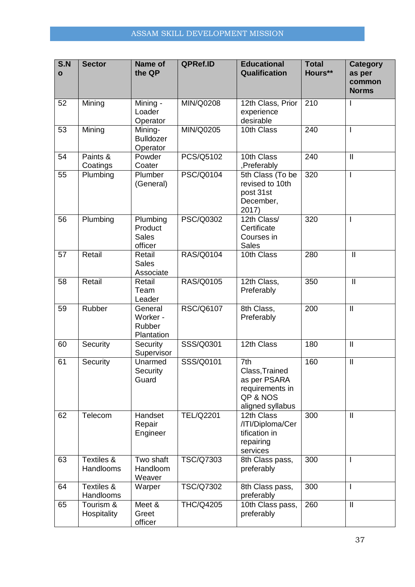| S.N<br>$\mathbf{o}$ | <b>Sector</b>            | Name of<br>the QP                              | QPRef.ID         | <b>Educational</b><br>Qualification                                                      | <b>Total</b><br>Hours** | <b>Category</b><br>as per<br>common<br><b>Norms</b> |
|---------------------|--------------------------|------------------------------------------------|------------------|------------------------------------------------------------------------------------------|-------------------------|-----------------------------------------------------|
| 52                  | Mining                   | Mining -<br>Loader<br>Operator                 | MIN/Q0208        | 12th Class, Prior<br>experience<br>desirable                                             | 210                     | I                                                   |
| 53                  | Mining                   | Mining-<br><b>Bulldozer</b><br>Operator        | MIN/Q0205        | 10th Class                                                                               | 240                     | I.                                                  |
| 54                  | Paints &<br>Coatings     | Powder<br>Coater                               | PCS/Q5102        | 10th Class<br>,Preferably                                                                | 240                     | $\mathbf{  }$                                       |
| 55                  | Plumbing                 | Plumber<br>(General)                           | <b>PSC/Q0104</b> | 5th Class (To be<br>revised to 10th<br>post 31st<br>December,<br>2017)                   | 320                     | I.                                                  |
| 56                  | Plumbing                 | Plumbing<br>Product<br><b>Sales</b><br>officer | <b>PSC/Q0302</b> | 12th Class/<br>Certificate<br>Courses in<br><b>Sales</b>                                 | 320                     | I.                                                  |
| 57                  | Retail                   | Retail<br><b>Sales</b><br>Associate            | RAS/Q0104        | 10th Class                                                                               | 280                     | $\mathbf{  }$                                       |
| 58                  | Retail                   | Retail<br>Team<br>Leader                       | <b>RAS/Q0105</b> | 12th Class,<br>Preferably                                                                | 350                     | $\overline{\mathbb{I}}$                             |
| 59                  | Rubber                   | General<br>Worker -<br>Rubber<br>Plantation    | <b>RSC/Q6107</b> | 8th Class,<br>Preferably                                                                 | 200                     | $\ensuremath{\mathsf{II}}$                          |
| 60                  | Security                 | Security<br>Supervisor                         | SSS/Q0301        | 12th Class                                                                               | 180                     | $\mathbf{  }$                                       |
| 61                  | Security                 | Unarmed<br>Security<br>Guard                   | SSS/Q0101        | 7th<br>Class, Trained<br>as per PSARA<br>requirements in<br>QP & NOS<br>aligned syllabus | 160                     | $\mathbf{  }$                                       |
| 62                  | Telecom                  | Handset<br>Repair<br>Engineer                  | <b>TEL/Q2201</b> | 12th Class<br>/ITI/Diploma/Cer<br>tification in<br>repairing<br>services                 | 300                     | $\mathbf{I}$                                        |
| 63                  | Textiles &<br>Handlooms  | Two shaft<br>Handloom<br>Weaver                | <b>TSC/Q7303</b> | 8th Class pass,<br>preferably                                                            | 300                     | I.                                                  |
| 64                  | Textiles &<br>Handlooms  | Warper                                         | <b>TSC/Q7302</b> | 8th Class pass,<br>preferably                                                            | 300                     | L                                                   |
| 65                  | Tourism &<br>Hospitality | Meet &<br>Greet<br>officer                     | <b>THC/Q4205</b> | 10th Class pass,<br>preferably                                                           | 260                     | $\mathbf{  }$                                       |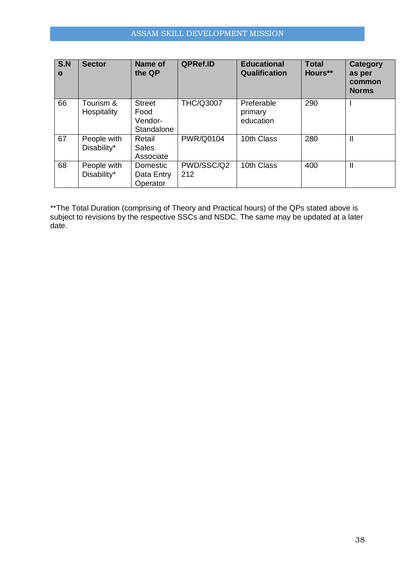| S.N<br>$\mathbf{o}$ | <b>Sector</b>              | Name of<br>the QP                              | QPRef.ID          | <b>Educational</b><br>Qualification | <b>Total</b><br>Hours** | Category<br>as per<br>common<br><b>Norms</b> |
|---------------------|----------------------------|------------------------------------------------|-------------------|-------------------------------------|-------------------------|----------------------------------------------|
| 66                  | Tourism &<br>Hospitality   | <b>Street</b><br>Food<br>Vendor-<br>Standalone | <b>THC/Q3007</b>  | Preferable<br>primary<br>education  | 290                     |                                              |
| 67                  | People with<br>Disability* | Retail<br><b>Sales</b><br>Associate            | <b>PWR/Q0104</b>  | 10th Class                          | 280                     | $\mathbf{I}$                                 |
| 68                  | People with<br>Disability* | Domestic<br>Data Entry<br>Operator             | PWD/SSC/Q2<br>212 | 10th Class                          | 400                     | $\mathbf{I}$                                 |

\*\*The Total Duration (comprising of Theory and Practical hours) of the QPs stated above is subject to revisions by the respective SSCs and NSDC. The same may be updated at a later date.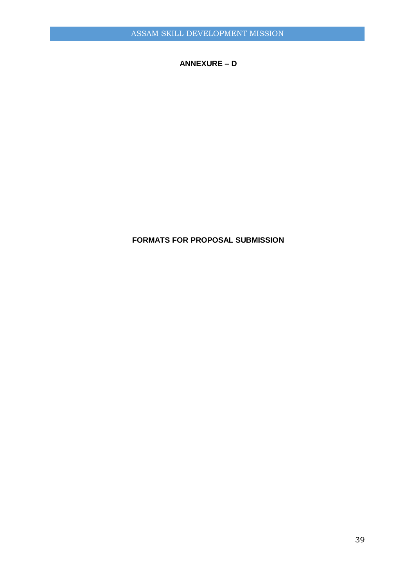**ANNEXURE – D**

## **FORMATS FOR PROPOSAL SUBMISSION**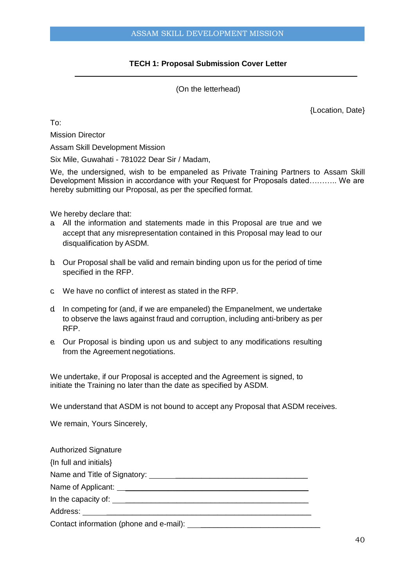## **TECH 1: Proposal Submission Cover Letter**

(On the letterhead)

{Location, Date}

To:

Mission Director

Assam Skill Development Mission

Six Mile, Guwahati - 781022 Dear Sir / Madam,

We, the undersigned, wish to be empaneled as Private Training Partners to Assam Skill Development Mission in accordance with your Request for Proposals dated……….. We are hereby submitting our Proposal, as per the specified format.

We hereby declare that:

- a. All the information and statements made in this Proposal are true and we accept that any misrepresentation contained in this Proposal may lead to our disqualification by ASDM.
- b. Our Proposal shall be valid and remain binding upon us for the period of time specified in the RFP.
- c. We have no conflict of interest as stated in the RFP.
- d. In competing for (and, if we are empaneled) the Empanelment, we undertake to observe the laws against fraud and corruption, including anti-bribery as per RFP.
- e. Our Proposal is binding upon us and subject to any modifications resulting from the Agreement negotiations.

We undertake, if our Proposal is accepted and the Agreement is signed, to initiate the Training no later than the date as specified by ASDM.

We understand that ASDM is not bound to accept any Proposal that ASDM receives.

We remain, Yours Sincerely,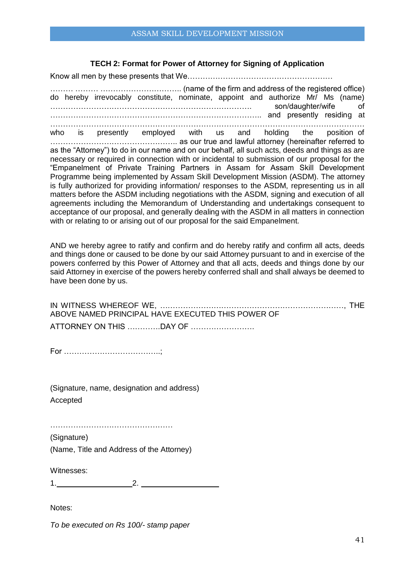## **TECH 2: Format for Power of Attorney for Signing of Application**

Know all men by these presents that We…………………………………………………

……… ……… ………………………….. (name of the firm and address of the registered office) do hereby irrevocably constitute, nominate, appoint and authorize Mr/ Ms (name) ……………………………………………………………………. son/daughter/wife of ……………………………………………………………………….. and presently residing at …………………………………………………………………………………………………………… who is presently employed with us and holding the position of ………………………………………….. as our true and lawful attorney (hereinafter referred to as the "Attorney") to do in our name and on our behalf, all such acts, deeds and things as are necessary or required in connection with or incidental to submission of our proposal for the "Empanelment of Private Training Partners in Assam for Assam Skill Development Programme being implemented by Assam Skill Development Mission (ASDM). The attorney is fully authorized for providing information/ responses to the ASDM, representing us in all matters before the ASDM including negotiations with the ASDM, signing and execution of all agreements including the Memorandum of Understanding and undertakings consequent to acceptance of our proposal, and generally dealing with the ASDM in all matters in connection with or relating to or arising out of our proposal for the said Empanelment.

AND we hereby agree to ratify and confirm and do hereby ratify and confirm all acts, deeds and things done or caused to be done by our said Attorney pursuant to and in exercise of the powers conferred by this Power of Attorney and that all acts, deeds and things done by our said Attorney in exercise of the powers hereby conferred shall and shall always be deemed to have been done by us.

| ABOVE NAMED PRINCIPAL HAVE EXECUTED THIS POWER OF |  |
|---------------------------------------------------|--|
|                                                   |  |

For ………………………………..;

(Signature, name, designation and address) Accepted

…………………………………………

(Signature) (Name, Title and Address of the Attorney)

Witnesses:

 $1.$   $2.$ 

Notes:

*To be executed on Rs 100/- stamp paper*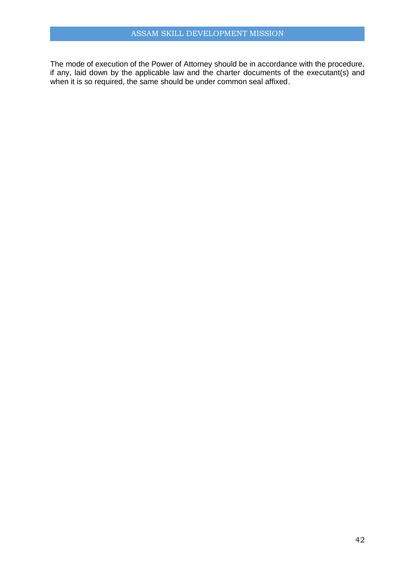The mode of execution of the Power of Attorney should be in accordance with the procedure, if any, laid down by the applicable law and the charter documents of the executant(s) and when it is so required, the same should be under common seal affixed.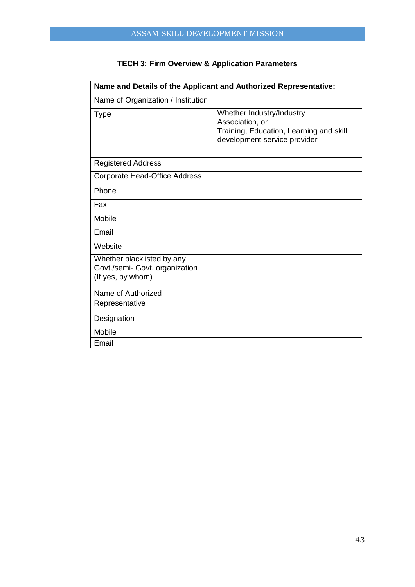| Name and Details of the Applicant and Authorized Representative:                  |                                                                                                                         |  |  |
|-----------------------------------------------------------------------------------|-------------------------------------------------------------------------------------------------------------------------|--|--|
| Name of Organization / Institution                                                |                                                                                                                         |  |  |
| <b>Type</b>                                                                       | Whether Industry/Industry<br>Association, or<br>Training, Education, Learning and skill<br>development service provider |  |  |
| <b>Registered Address</b>                                                         |                                                                                                                         |  |  |
| Corporate Head-Office Address                                                     |                                                                                                                         |  |  |
| Phone                                                                             |                                                                                                                         |  |  |
| Fax                                                                               |                                                                                                                         |  |  |
| Mobile                                                                            |                                                                                                                         |  |  |
| Email                                                                             |                                                                                                                         |  |  |
| Website                                                                           |                                                                                                                         |  |  |
| Whether blacklisted by any<br>Govt./semi- Govt. organization<br>(If yes, by whom) |                                                                                                                         |  |  |
| Name of Authorized<br>Representative                                              |                                                                                                                         |  |  |
| Designation                                                                       |                                                                                                                         |  |  |
| Mobile                                                                            |                                                                                                                         |  |  |
| Email                                                                             |                                                                                                                         |  |  |

## **TECH 3: Firm Overview & Application Parameters**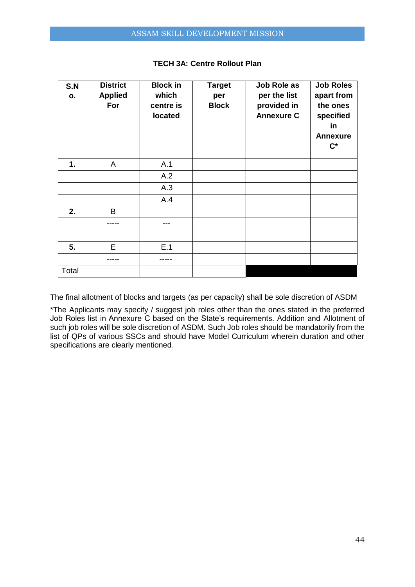| S.N<br>О. | <b>District</b><br><b>Applied</b><br>For | <b>Block in</b><br>which<br>centre is<br>located | <b>Target</b><br>per<br><b>Block</b> | Job Role as<br>per the list<br>provided in<br><b>Annexure C</b> | <b>Job Roles</b><br>apart from<br>the ones<br>specified<br>in<br><b>Annexure</b><br>$\mathbf{C}^*$ |
|-----------|------------------------------------------|--------------------------------------------------|--------------------------------------|-----------------------------------------------------------------|----------------------------------------------------------------------------------------------------|
| 1.        | A                                        | A.1                                              |                                      |                                                                 |                                                                                                    |
|           |                                          | A.2                                              |                                      |                                                                 |                                                                                                    |
|           |                                          | A.3                                              |                                      |                                                                 |                                                                                                    |
|           |                                          | A.4                                              |                                      |                                                                 |                                                                                                    |
| 2.        | B                                        |                                                  |                                      |                                                                 |                                                                                                    |
|           |                                          | ---                                              |                                      |                                                                 |                                                                                                    |
|           |                                          |                                                  |                                      |                                                                 |                                                                                                    |
| 5.        | E                                        | E.1                                              |                                      |                                                                 |                                                                                                    |
|           |                                          |                                                  |                                      |                                                                 |                                                                                                    |
| Total     |                                          |                                                  |                                      |                                                                 |                                                                                                    |

## **TECH 3A: Centre Rollout Plan**

The final allotment of blocks and targets (as per capacity) shall be sole discretion of ASDM

\*The Applicants may specify / suggest job roles other than the ones stated in the preferred Job Roles list in Annexure C based on the State's requirements. Addition and Allotment of such job roles will be sole discretion of ASDM. Such Job roles should be mandatorily from the list of QPs of various SSCs and should have Model Curriculum wherein duration and other specifications are clearly mentioned.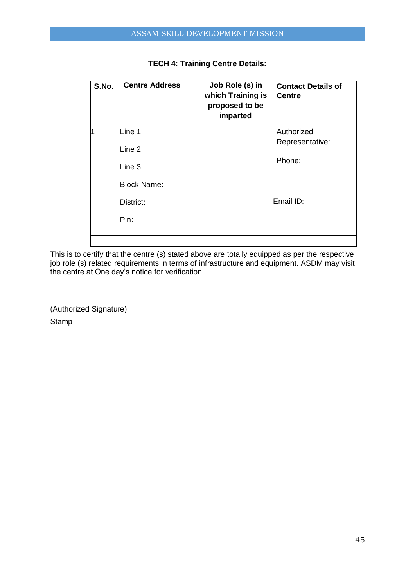| S.No. | <b>Centre Address</b> | Job Role (s) in<br>which Training is<br>proposed to be<br>imparted | <b>Contact Details of</b><br><b>Centre</b> |
|-------|-----------------------|--------------------------------------------------------------------|--------------------------------------------|
| 1     | Line 1:               |                                                                    | Authorized                                 |
|       | Line 2:               |                                                                    | Representative:                            |
|       | Line 3:               |                                                                    | Phone:                                     |
|       | <b>Block Name:</b>    |                                                                    |                                            |
|       | District:             |                                                                    | Email ID:                                  |
|       | Pin:                  |                                                                    |                                            |
|       |                       |                                                                    |                                            |
|       |                       |                                                                    |                                            |

## **TECH 4: Training Centre Details:**

This is to certify that the centre (s) stated above are totally equipped as per the respective job role (s) related requirements in terms of infrastructure and equipment. ASDM may visit the centre at One day's notice for verification

(Authorized Signature) Stamp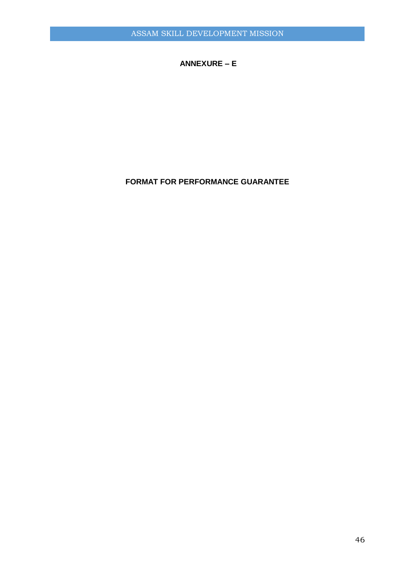## **ANNEXURE – E**

## **FORMAT FOR PERFORMANCE GUARANTEE**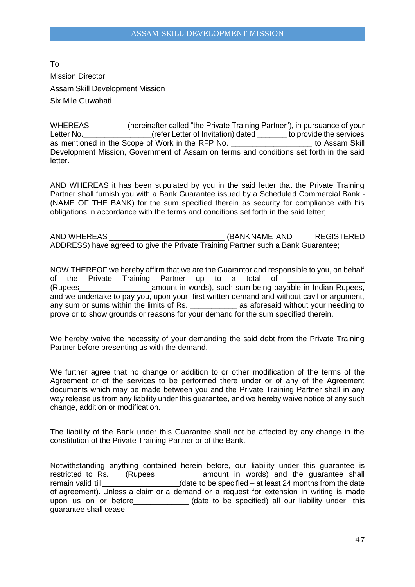To Mission Director Assam Skill Development Mission Six Mile Guwahati

WHEREAS (hereinafter called "the Private Training Partner"), in pursuance of your Letter No. **Letter No.** (refer Letter of Invitation) dated to provide the services as mentioned in the Scope of Work in the RFP No. \_\_\_\_\_\_\_\_\_\_\_\_\_\_\_\_\_\_\_ to Assam Skill Development Mission, Government of Assam on terms and conditions set forth in the said letter.

AND WHEREAS it has been stipulated by you in the said letter that the Private Training Partner shall furnish you with a Bank Guarantee issued by a Scheduled Commercial Bank - (NAME OF THE BANK) for the sum specified therein as security for compliance with his obligations in accordance with the terms and conditions set forth in the said letter;

AND WHEREAS THE REGISTER OF A REGISTER AND STATE AND REGISTERED ADDRESS) have agreed to give the Private Training Partner such a Bank Guarantee;

NOW THEREOF we hereby affirm that we are the Guarantor and responsible to you, on behalf of the Private Training Partner up to a total of (Rupees\_\_\_\_\_\_\_\_\_\_\_\_\_\_\_\_\_amount in words), such sum being payable in Indian Rupees, and we undertake to pay you, upon your first written demand and without cavil or argument, and the anaertative to pay you, approximately as a aforesaid without your needing to any sum or sums within the limits of Rs. prove or to show grounds or reasons for your demand for the sum specified therein.

We hereby waive the necessity of your demanding the said debt from the Private Training Partner before presenting us with the demand.

We further agree that no change or addition to or other modification of the terms of the Agreement or of the services to be performed there under or of any of the Agreement documents which may be made between you and the Private Training Partner shall in any way release us from any liability under this guarantee, and we hereby waive notice of any such change, addition or modification.

The liability of the Bank under this Guarantee shall not be affected by any change in the constitution of the Private Training Partner or of the Bank.

Notwithstanding anything contained herein before, our liability under this guarantee is restricted to Rs. \_\_\_(Rupees \_\_\_\_\_\_\_\_\_\_ amount in words) and the guarantee shall remain valid till **EXECUTE:** (date to be specified – at least 24 months from the date of agreement). Unless a claim or a demand or a request for extension in writing is made upon us on or before\_\_\_\_\_\_\_\_\_\_\_\_\_ (date to be specified) all our liability under this guarantee shall cease